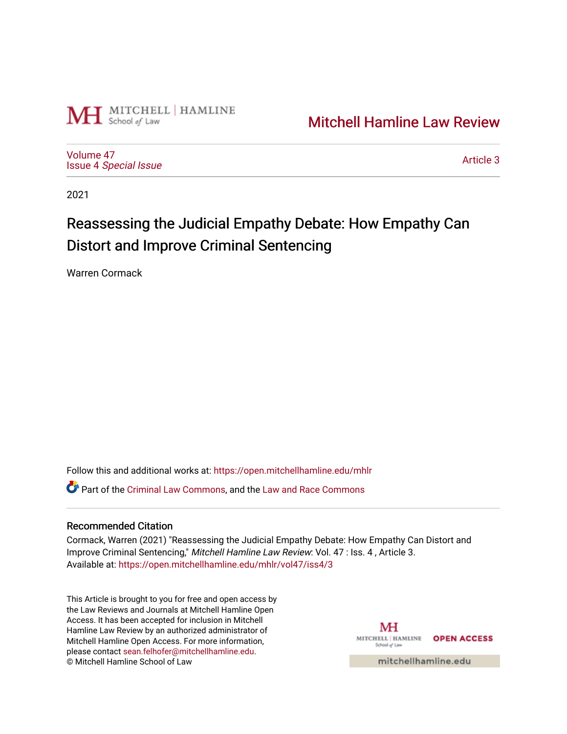

## [Mitchell Hamline Law Review](https://open.mitchellhamline.edu/mhlr)

[Volume 47](https://open.mitchellhamline.edu/mhlr/vol47) Issue 4 [Special Issue](https://open.mitchellhamline.edu/mhlr/vol47/iss4)

[Article 3](https://open.mitchellhamline.edu/mhlr/vol47/iss4/3) 

2021

# Reassessing the Judicial Empathy Debate: How Empathy Can Distort and Improve Criminal Sentencing

Warren Cormack

Follow this and additional works at: [https://open.mitchellhamline.edu/mhlr](https://open.mitchellhamline.edu/mhlr?utm_source=open.mitchellhamline.edu%2Fmhlr%2Fvol47%2Fiss4%2F3&utm_medium=PDF&utm_campaign=PDFCoverPages) 

Part of the [Criminal Law Commons,](http://network.bepress.com/hgg/discipline/912?utm_source=open.mitchellhamline.edu%2Fmhlr%2Fvol47%2Fiss4%2F3&utm_medium=PDF&utm_campaign=PDFCoverPages) and the [Law and Race Commons](http://network.bepress.com/hgg/discipline/1300?utm_source=open.mitchellhamline.edu%2Fmhlr%2Fvol47%2Fiss4%2F3&utm_medium=PDF&utm_campaign=PDFCoverPages)

## Recommended Citation

Cormack, Warren (2021) "Reassessing the Judicial Empathy Debate: How Empathy Can Distort and Improve Criminal Sentencing," Mitchell Hamline Law Review: Vol. 47 : Iss. 4 , Article 3. Available at: [https://open.mitchellhamline.edu/mhlr/vol47/iss4/3](https://open.mitchellhamline.edu/mhlr/vol47/iss4/3?utm_source=open.mitchellhamline.edu%2Fmhlr%2Fvol47%2Fiss4%2F3&utm_medium=PDF&utm_campaign=PDFCoverPages) 

This Article is brought to you for free and open access by the Law Reviews and Journals at Mitchell Hamline Open Access. It has been accepted for inclusion in Mitchell Hamline Law Review by an authorized administrator of Mitchell Hamline Open Access. For more information, please contact [sean.felhofer@mitchellhamline.edu.](mailto:sean.felhofer@mitchellhamline.edu) © Mitchell Hamline School of Law

MH MITCHELL | HAMLINE OPEN ACCESS School of Law

mitchellhamline.edu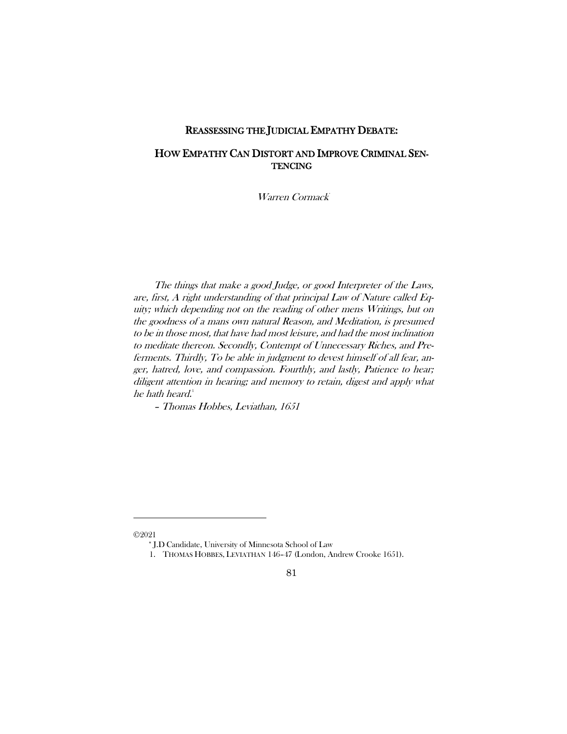## REASSESSING THE JUDICIAL EMPATHY DEBATE:

## HOW EMPATHY CAN DISTORT AND IMPROVE CRIMINAL SEN-**TENCING**

Warren Cormack<sup>\*</sup>

The things that make a good Judge, or good Interpreter of the Laws, are, first, A right understanding of that principal Law of Nature called Equity; which depending not on the reading of other mens Writings, but on the goodness of a mans own natural Reason, and Meditation, is presumed to be in those most, that have had most leisure, and had the most inclination to meditate thereon. Secondly, Contempt of Unnecessary Riches, and Preferments. Thirdly, To be able in judgment to devest himself of all fear, anger, hatred, love, and compassion. Fourthly, and lastly, Patience to hear; diligent attention in hearing; and memory to retain, digest and apply what he hath heard.<sup>[1](#page-1-0)</sup>

– Thomas Hobbes, Leviathan, 1651

 $\overline{a}$ 

\* J.D Candidate, University of Minnesota School of Law

## 81

<span id="page-1-0"></span><sup>©2021</sup>

<sup>1.</sup> THOMAS HOBBES, LEVIATHAN 146–47 (London, Andrew Crooke 1651).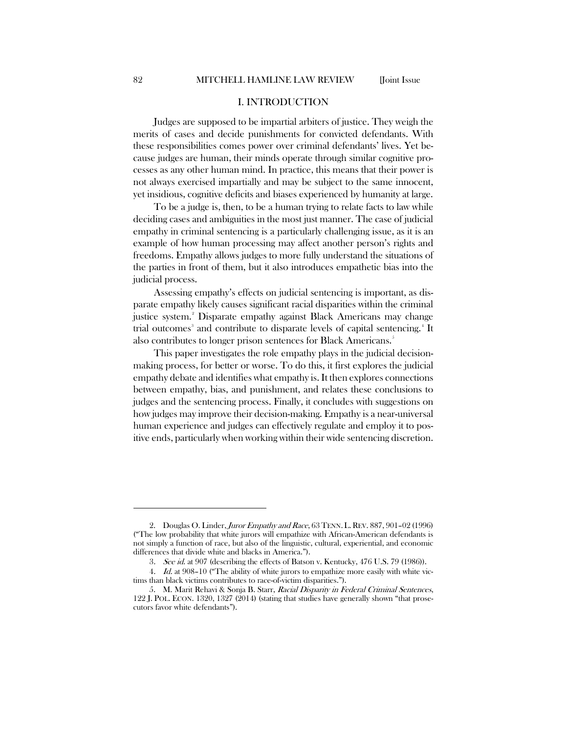#### I. INTRODUCTION

Judges are supposed to be impartial arbiters of justice. They weigh the merits of cases and decide punishments for convicted defendants. With these responsibilities comes power over criminal defendants' lives. Yet because judges are human, their minds operate through similar cognitive processes as any other human mind. In practice, this means that their power is not always exercised impartially and may be subject to the same innocent, yet insidious, cognitive deficits and biases experienced by humanity at large.

To be a judge is, then, to be a human trying to relate facts to law while deciding cases and ambiguities in the most just manner. The case of judicial empathy in criminal sentencing is a particularly challenging issue, as it is an example of how human processing may affect another person's rights and freedoms. Empathy allows judges to more fully understand the situations of the parties in front of them, but it also introduces empathetic bias into the judicial process.

Assessing empathy's effects on judicial sentencing is important, as disparate empathy likely causes significant racial disparities within the criminal justice system.<sup>[2](#page-2-0)</sup> Disparate empathy against Black Americans may change trial outcomes<sup>[3](#page-2-1)</sup> and contribute to disparate levels of capital sentencing.<sup>[4](#page-2-2)</sup> It also contributes to longer prison sentences for Black Americans.<sup>[5](#page-2-3)</sup>

This paper investigates the role empathy plays in the judicial decisionmaking process, for better or worse. To do this, it first explores the judicial empathy debate and identifies what empathy is. It then explores connections between empathy, bias, and punishment, and relates these conclusions to judges and the sentencing process. Finally, it concludes with suggestions on how judges may improve their decision-making. Empathy is a near-universal human experience and judges can effectively regulate and employ it to positive ends, particularly when working within their wide sentencing discretion.

<span id="page-2-0"></span><sup>2.</sup> Douglas O. Linder, Juror Empathy and Race, 63 TENN. L. REV. 887, 901-02 (1996) ("The low probability that white jurors will empathize with African-American defendants is not simply a function of race, but also of the linguistic, cultural, experiential, and economic differences that divide white and blacks in America.").

<sup>3.</sup> See id. at 907 (describing the effects of Batson v. Kentucky, 476 U.S. 79 (1986)).

<span id="page-2-2"></span><span id="page-2-1"></span><sup>4.</sup> Id. at 908-10 ("The ability of white jurors to empathize more easily with white victims than black victims contributes to race-of-victim disparities.").

<span id="page-2-3"></span><sup>5.</sup> M. Marit Rehavi & Sonja B. Starr, Racial Disparity in Federal Criminal Sentences, 122 J. POL. ECON. 1320, 1327 (2014) (stating that studies have generally shown "that prosecutors favor white defendants").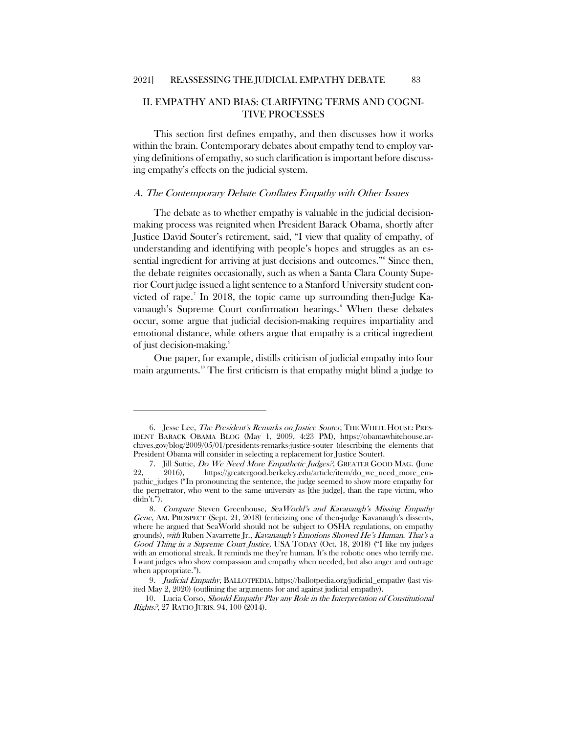## II. EMPATHY AND BIAS: CLARIFYING TERMS AND COGNI-TIVE PROCESSES

This section first defines empathy, and then discusses how it works within the brain. Contemporary debates about empathy tend to employ varying definitions of empathy, so such clarification is important before discussing empathy's effects on the judicial system.

#### A. The Contemporary Debate Conflates Empathy with Other Issues

The debate as to whether empathy is valuable in the judicial decisionmaking process was reignited when President Barack Obama, shortly after Justice David Souter's retirement, said, "I view that quality of empathy, of understanding and identifying with people's hopes and struggles as an essential ingredient for arriving at just decisions and outcomes." Since then, the debate reignites occasionally, such as when a Santa Clara County Superior Court judge issued a light sentence to a Stanford University student convicted of rape.[7](#page-3-1) In 2018, the topic came up surrounding then-Judge Ka-vanaugh's Supreme Court confirmation hearings.<sup>[8](#page-3-2)</sup> When these debates occur, some argue that judicial decision-making requires impartiality and emotional distance, while others argue that empathy is a critical ingredient of just decision-making.[9](#page-3-3)

One paper, for example, distills criticism of judicial empathy into four main arguments.<sup>[10](#page-3-4)</sup> The first criticism is that empathy might blind a judge to

<span id="page-3-0"></span><sup>6.</sup> Jesse Lee, The President's Remarks on Justice Souter, THE WHITE HOUSE: PRES-IDENT BARACK OBAMA BLOG (May 1, 2009, 4:23 PM), https://obamawhitehouse.archives.gov/blog/2009/05/01/presidents-remarks-justice-souter (describing the elements that President Obama will consider in selecting a replacement for Justice Souter).

<span id="page-3-1"></span><sup>7.</sup> Jill Suttie, Do We Need More Empathetic Judges?, GREATER GOOD MAG. (June 22, 2016), https://greatergood.berkeley.edu/article/item/do\_we\_need\_more\_empathic\_judges ("In pronouncing the sentence, the judge seemed to show more empathy for the perpetrator, who went to the same university as [the judge], than the rape victim, who didn't.").

<span id="page-3-2"></span><sup>8</sup>. Compare Steven Greenhouse, SeaWorld's and Kavanaugh's Missing Empathy Gene, AM. PROSPECT (Sept. 21, 2018) (criticizing one of then-judge Kavanaugh's dissents, where he argued that SeaWorld should not be subject to OSHA regulations, on empathy grounds), with Ruben Navarrette Jr., Kavanaugh's Emotions Showed He's Human. That's a Good Thing in a Supreme Court Justice, USA TODAY (Oct. 18, 2018) ("I like my judges with an emotional streak. It reminds me they're human. It's the robotic ones who terrify me. I want judges who show compassion and empathy when needed, but also anger and outrage when appropriate.").

<span id="page-3-4"></span><span id="page-3-3"></span><sup>9.</sup> Judicial Empathy, BALLOTPEDIA, https://ballotpedia.org/judicial\_empathy (last visited May 2, 2020) (outlining the arguments for and against judicial empathy).

<sup>10.</sup> Lucia Corso, Should Empathy Play any Role in the Interpretation of Constitutional Rights?, 27 RATIO JURIS. 94, 100 (2014).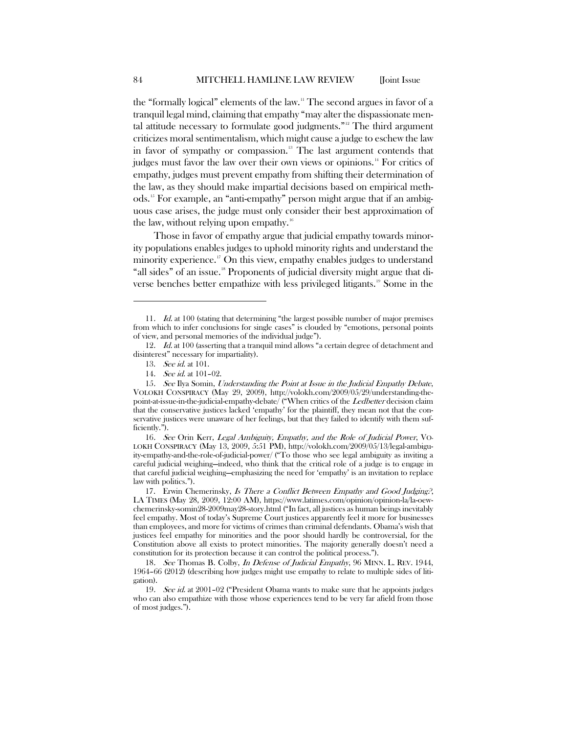the "formally logical" elements of the law.<sup>[11](#page-4-0)</sup> The second argues in favor of a tranquil legal mind, claiming that empathy "may alter the dispassionate mental attitude necessary to formulate good judgments."[12](#page-4-1) The third argument criticizes moral sentimentalism, which might cause a judge to eschew the law in favor of sympathy or compassion.<sup>[13](#page-4-2)</sup> The last argument contends that judges must favor the law over their own views or opinions.<sup>[14](#page-4-3)</sup> For critics of empathy, judges must prevent empathy from shifting their determination of the law, as they should make impartial decisions based on empirical methods.<sup>15</sup> For example, an "anti-empathy" person might argue that if an ambiguous case arises, the judge must only consider their best approximation of the law, without relying upon empathy. $16$ 

Those in favor of empathy argue that judicial empathy towards minority populations enables judges to uphold minority rights and understand the minority experience.<sup>[17](#page-4-6)</sup> On this view, empathy enables judges to understand "all sides" of an issue.<sup>[18](#page-4-7)</sup> Proponents of judicial diversity might argue that diverse benches better empathize with less privileged litigants.[19](#page-4-8) Some in the

<span id="page-4-5"></span>16. See Orin Kerr, Legal Ambiguity, Empathy, and the Role of Judicial Power, VO-LOKH CONSPIRACY (May 13, 2009, 5:51 PM), http://volokh.com/2009/05/13/legal-ambiguity-empathy-and-the-role-of-judicial-power/ ("To those who see legal ambiguity as inviting a careful judicial weighing—indeed, who think that the critical role of a judge is to engage in that careful judicial weighing—emphasizing the need for 'empathy' is an invitation to replace law with politics.").

<span id="page-4-6"></span>17. Erwin Chemerinsky, Is There a Conflict Between Empathy and Good Judging?, LA TIMES (May 28, 2009, 12:00 AM), https://www.latimes.com/opinion/opinion-la/la-oewchemerinsky-somin28-2009may28-story.html ("In fact, all justices as human beings inevitably feel empathy. Most of today's Supreme Court justices apparently feel it more for businesses than employees, and more for victims of crimes than criminal defendants. Obama's wish that justices feel empathy for minorities and the poor should hardly be controversial, for the Constitution above all exists to protect minorities. The majority generally doesn't need a constitution for its protection because it can control the political process.").

<span id="page-4-7"></span>18. See Thomas B. Colby, In Defense of Judicial Empathy, 96 MINN. L. REV. 1944, 1964–66 (2012) (describing how judges might use empathy to relate to multiple sides of litigation).

<span id="page-4-8"></span>19. See id. at 2001–02 ("President Obama wants to make sure that he appoints judges who can also empathize with those whose experiences tend to be very far afield from those of most judges.").

<span id="page-4-0"></span><sup>11.</sup> *Id.* at 100 (stating that determining "the largest possible number of major premises from which to infer conclusions for single cases" is clouded by "emotions, personal points of view, and personal memories of the individual judge").

<span id="page-4-2"></span><span id="page-4-1"></span><sup>12.</sup> Id. at 100 (asserting that a tranquil mind allows "a certain degree of detachment and disinterest" necessary for impartiality).

<sup>13.</sup> See id. at 101.

<sup>14</sup>. See id. at 101–02.

<span id="page-4-4"></span><span id="page-4-3"></span><sup>15</sup>. See Ilya Somin, Understanding the Point at Issue in the Judicial Empathy Debate, VOLOKH CONSPIRACY (May 29, 2009), http://volokh.com/2009/05/29/understanding-thepoint-at-issue-in-the-judicial-empathy-debate/ ("When critics of the Ledbetter decision claim that the conservative justices lacked 'empathy' for the plaintiff, they mean not that the conservative justices were unaware of her feelings, but that they failed to identify with them sufficiently.").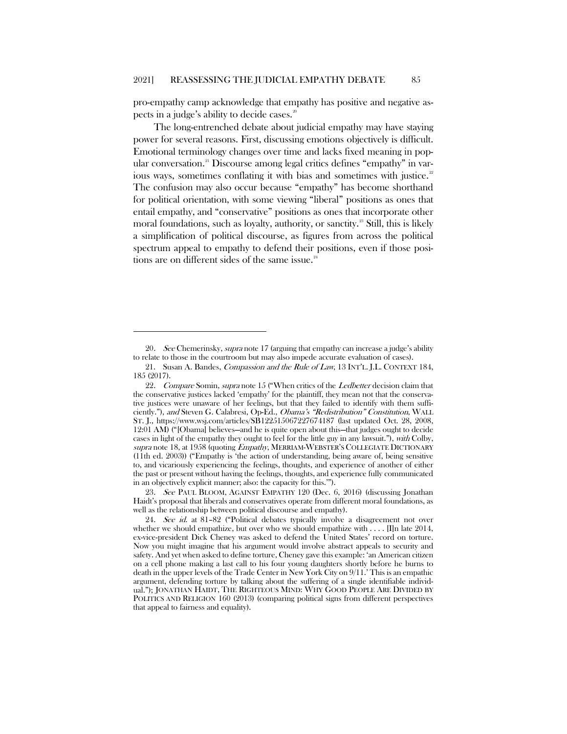pro-empathy camp acknowledge that empathy has positive and negative as-pects in a judge's ability to decide cases.<sup>[20](#page-5-0)</sup>

The long-entrenched debate about judicial empathy may have staying power for several reasons. First, discussing emotions objectively is difficult. Emotional terminology changes over time and lacks fixed meaning in pop-ular conversation.<sup>[21](#page-5-1)</sup> Discourse among legal critics defines "empathy" in var-ious ways, sometimes conflating it with bias and sometimes with justice.<sup>[22](#page-5-2)</sup> The confusion may also occur because "empathy" has become shorthand for political orientation, with some viewing "liberal" positions as ones that entail empathy, and "conservative" positions as ones that incorporate other moral foundations, such as loyalty, authority, or sanctity.<sup>[23](#page-5-3)</sup> Still, this is likely a simplification of political discourse, as figures from across the political spectrum appeal to empathy to defend their positions, even if those posi-tions are on different sides of the same issue.<sup>[24](#page-5-4)</sup>

<span id="page-5-1"></span><span id="page-5-0"></span><sup>20.</sup> See Chemerinsky, supra note 17 (arguing that empathy can increase a judge's ability to relate to those in the courtroom but may also impede accurate evaluation of cases).

<sup>21.</sup> Susan A. Bandes, Compassion and the Rule of Law, 13 INT'L. J.L. CONTEXT 184, 185 (2017).

<span id="page-5-2"></span><sup>22.</sup> Compare Somin, supra note 15 ("When critics of the *Ledbetter* decision claim that the conservative justices lacked 'empathy' for the plaintiff, they mean not that the conservative justices were unaware of her feelings, but that they failed to identify with them sufficiently."), and Steven G. Calabresi, Op-Ed., Obama's "Redistribution" Constitution, WALL ST. J., https://www.wsj.com/articles/SB122515067227674187 (last updated Oct. 28, 2008, 12:01 AM) ("[Obama] believes—and he is quite open about this—that judges ought to decide cases in light of the empathy they ought to feel for the little guy in any lawsuit."), with Colby, supra note 18, at 1958 (quoting *Empathy*, MERRIAM-WEBSTER'S COLLEGIATE DICTIONARY (11th ed. 2003)) ("Empathy is 'the action of understanding, being aware of, being sensitive to, and vicariously experiencing the feelings, thoughts, and experience of another of either the past or present without having the feelings, thoughts, and experience fully communicated in an objectively explicit manner; also: the capacity for this.'").

<span id="page-5-3"></span><sup>23</sup>. See PAUL BLOOM, AGAINST EMPATHY 120 (Dec. 6, 2016) (discussing Jonathan Haidt's proposal that liberals and conservatives operate from different moral foundations, as well as the relationship between political discourse and empathy).

<span id="page-5-4"></span><sup>24.</sup> See id. at 81-82 ("Political debates typically involve a disagreement not over whether we should empathize, but over who we should empathize with  $\dots$ . [I]n late 2014, ex-vice-president Dick Cheney was asked to defend the United States' record on torture. Now you might imagine that his argument would involve abstract appeals to security and safety. And yet when asked to define torture, Cheney gave this example: 'an American citizen on a cell phone making a last call to his four young daughters shortly before he burns to death in the upper levels of the Trade Center in New York City on 9/11.' This is an empathic argument, defending torture by talking about the suffering of a single identifiable individual."); JONATHAN HAIDT, THE RIGHTEOUS MIND: WHY GOOD PEOPLE ARE DIVIDED BY POLITICS AND RELIGION 160 (2013) (comparing political signs from different perspectives that appeal to fairness and equality).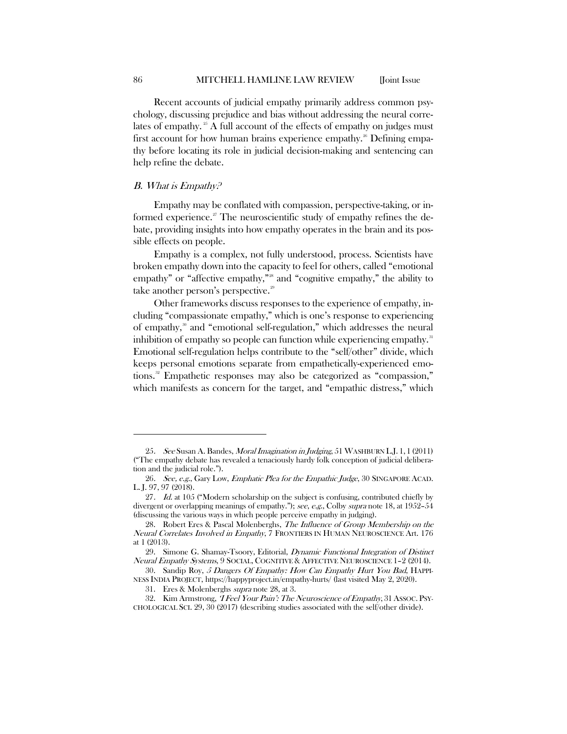Recent accounts of judicial empathy primarily address common psychology, discussing prejudice and bias without addressing the neural corre-lates of empathy.<sup>[25](#page-6-0)</sup> A full account of the effects of empathy on judges must first account for how human brains experience empathy.<sup>[26](#page-6-1)</sup> Defining empathy before locating its role in judicial decision-making and sentencing can help refine the debate.

#### B. What is Empathy?

Empathy may be conflated with compassion, perspective-taking, or in-formed experience.<sup>[27](#page-6-2)</sup> The neuroscientific study of empathy refines the debate, providing insights into how empathy operates in the brain and its possible effects on people.

Empathy is a complex, not fully understood, process. Scientists have broken empathy down into the capacity to feel for others, called "emotional empathy" or "affective empathy,"<sup>[28](#page-6-3)</sup> and "cognitive empathy," the ability to take another person's perspective.<sup>[29](#page-6-4)</sup>

Other frameworks discuss responses to the experience of empathy, including "compassionate empathy," which is one's response to experiencing of empathy,<sup>[30](#page-6-5)</sup> and "emotional self-regulation," which addresses the neural inhibition of empathy so people can function while experiencing empathy.<sup>[31](#page-6-6)</sup> Emotional self-regulation helps contribute to the "self/other" divide, which keeps personal emotions separate from empathetically-experienced emo-tions.<sup>[32](#page-6-7)</sup> Empathetic responses may also be categorized as "compassion," which manifests as concern for the target, and "empathic distress," which

<span id="page-6-0"></span><sup>25.</sup> See Susan A. Bandes, Moral Imagination in Judging, 51 WASHBURN L.J. 1, 1 (2011) ("The empathy debate has revealed a tenaciously hardy folk conception of judicial deliberation and the judicial role.").

<span id="page-6-1"></span><sup>26.</sup> See, e.g., Gary Low, Emphatic Plea for the Empathic Judge, 30 SINGAPORE ACAD. L. J. 97, 97 (2018).

<span id="page-6-2"></span><sup>27.</sup> *Id.* at 105 ("Modern scholarship on the subject is confusing, contributed chiefly by divergent or overlapping meanings of empathy."); see, e.g., Colby supra note 18, at 1952–54 (discussing the various ways in which people perceive empathy in judging).

<span id="page-6-3"></span><sup>28.</sup> Robert Eres & Pascal Molenberghs, The Influence of Group Membership on the Neural Correlates Involved in Empathy, 7 FRONTIERS IN HUMAN NEUROSCIENCE Art. 176 at 1 (2013).

<span id="page-6-4"></span><sup>29.</sup> Simone G. Shamay-Tsoory, Editorial, Dynamic Functional Integration of Distinct Neural Empathy Systems, 9 SOCIAL, COGNITIVE & AFFECTIVE NEUROSCIENCE 1–2 (2014).

<span id="page-6-5"></span><sup>30.</sup> Sandip Roy, 5 Dangers Of Empathy: How Can Empathy Hurt You Bad, HAPPI-NESS INDIA PROJECT, https://happyproject.in/empathy-hurts/ (last visited May 2, 2020).

<sup>31.</sup> Eres & Molenberghs supra note 28, at 3.

<span id="page-6-7"></span><span id="page-6-6"></span><sup>32.</sup> Kim Armstrong, *'I Feel Your Pain': The Neuroscience of Empathy*, 31 Assoc. Psy-CHOLOGICAL SCI. 29, 30 (2017) (describing studies associated with the self/other divide).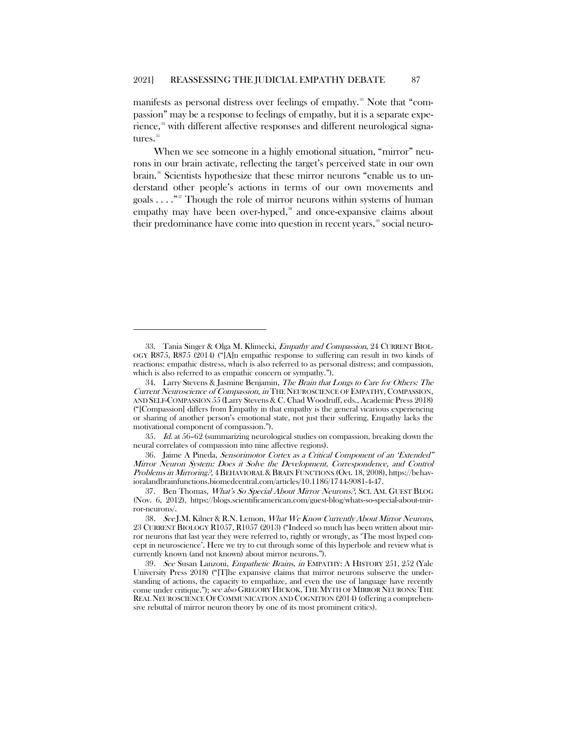manifests as personal distress over feelings of empathy.<sup>[33](#page-7-0)</sup> Note that "compassion" may be a response to feelings of empathy, but it is a separate expe-rience,<sup>[34](#page-7-1)</sup> with different affective responses and different neurological signa-tures.<sup>[35](#page-7-2)</sup>

When we see someone in a highly emotional situation, "mirror" neurons in our brain activate, reflecting the target's perceived state in our own brain.[36](#page-7-3) Scientists hypothesize that these mirror neurons "enable us to understand other people's actions in terms of our own movements and goals  $\dots$ ."<sup>[37](#page-7-4)</sup> Though the role of mirror neurons within systems of human empathy may have been over-hyped,<sup>[38](#page-7-5)</sup> and once-expansive claims about their predominance have come into question in recent years,<sup>[39](#page-7-6)</sup> social neuro-

<span id="page-7-0"></span><sup>33.</sup> Tania Singer & Olga M. Klimecki, Empathy and Compassion, 24 CURRENT BIOL-OGY R875, R875 (2014) ("[A]n empathic response to suffering can result in two kinds of reactions: empathic distress, which is also referred to as personal distress; and compassion, which is also referred to as empathic concern or sympathy.").

<span id="page-7-1"></span><sup>34.</sup> Larry Stevens & Jasmine Benjamin, The Brain that Longs to Care for Others: The Current Neuroscience of Compassion, in THE NEUROSCIENCE OF EMPATHY, COMPASSION, AND SELF-COMPASSION 55 (Larry Stevens & C. Chad Woodruff, eds., Academic Press 2018) ("[Compassion] differs from Empathy in that empathy is the general vicarious experiencing or sharing of another person's emotional state, not just their suffering. Empathy lacks the motivational component of compassion.").

<span id="page-7-2"></span><sup>35</sup>. Id. at 56–62 (summarizing neurological studies on compassion, breaking down the neural correlates of compassion into nine affective regions).

<span id="page-7-3"></span><sup>36.</sup> Jaime A Pineda, Sensorimotor Cortex as a Critical Component of an 'Extended" Mirror Neuron System: Does it Solve the Development, Correspondence, and Control Problems in Mirroring?, 4 BEHAVIORAL & BRAIN FUNCTIONS (Oct. 18, 2008), https://behavioralandbrainfunctions.biomedcentral.com/articles/10.1186/1744-9081-4-47.

<span id="page-7-4"></span><sup>37.</sup> Ben Thomas, What's So Special About Mirror Neurons?, SCI. AM. GUEST BLOG (Nov. 6, 2012), https://blogs.scientificamerican.com/guest-blog/whats-so-special-about-mirror-neurons/.

<span id="page-7-5"></span><sup>38</sup>. See J.M. Kilner & R.N. Lemon, What We Know Currently About Mirror Neurons, 23 CURRENT BIOLOGY R1057, R1057 (2013) ("Indeed so much has been written about mirror neurons that last year they were referred to, rightly or wrongly, as 'The most hyped concept in neuroscience'. Here we try to cut through some of this hyperbole and review what is currently known (and not known) about mirror neurons.").

<span id="page-7-6"></span><sup>39</sup>. See Susan Lanzoni, Empathetic Brains, in EMPATHY: A HISTORY 251, 252 (Yale University Press 2018) ("The expansive claims that mirror neurons subserve the understanding of actions, the capacity to empathize, and even the use of language have recently come under critique."); see also GREGORY HICKOK,THE MYTH OF MIRROR NEURONS:THE REAL NEUROSCIENCE OF COMMUNICATION AND COGNITION (2014) (offering a comprehensive rebuttal of mirror neuron theory by one of its most prominent critics).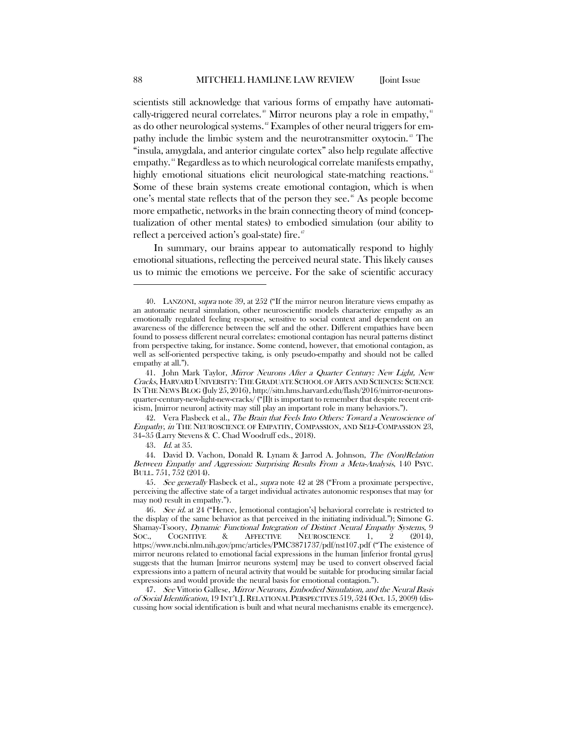scientists still acknowledge that various forms of empathy have automati-cally-triggered neural correlates.<sup>[40](#page-8-0)</sup> Mirror neurons play a role in empathy,<sup>[41](#page-8-1)</sup> as do other neurological systems.<sup>[42](#page-8-2)</sup> Examples of other neural triggers for empathy include the limbic system and the neurotransmitter oxytocin. [43](#page-8-3) The "insula, amygdala, and anterior cingulate cortex" also help regulate affective empathy.<sup>[44](#page-8-4)</sup> Regardless as to which neurological correlate manifests empathy, highly emotional situations elicit neurological state-matching reactions.<sup>[45](#page-8-5)</sup> Some of these brain systems create emotional contagion, which is when one's mental state reflects that of the person they see.<sup>[46](#page-8-6)</sup> As people become more empathetic, networks in the brain connecting theory of mind (conceptualization of other mental states) to embodied simulation (our ability to reflect a perceived action's goal-state) fire.<sup>[47](#page-8-7)</sup>

In summary, our brains appear to automatically respond to highly emotional situations, reflecting the perceived neural state. This likely causes us to mimic the emotions we perceive. For the sake of scientific accuracy

<span id="page-8-2"></span>42. Vera Flasbeck et al., The Brain that Feels Into Others: Toward a Neuroscience of Empathy, in THE NEUROSCIENCE OF EMPATHY, COMPASSION, AND SELF-COMPASSION 23, 34–35 (Larry Stevens & C. Chad Woodruff eds., 2018).

43. Id. at 35.

<span id="page-8-4"></span><span id="page-8-3"></span>44. David D. Vachon, Donald R. Lynam & Jarrod A. Johnson, The (Non)Relation Between Empathy and Aggression: Surprising Results From a Meta-Analysis, 140 PSYC. BULL. 751, 752 (2014).

<span id="page-8-5"></span>45. See generally Flasbeck et al., supra note 42 at 28 ("From a proximate perspective, perceiving the affective state of a target individual activates autonomic responses that may (or may not) result in empathy.").

<span id="page-8-6"></span>46. See id. at 24 ("Hence, [emotional contagion's] behavioral correlate is restricted to the display of the same behavior as that perceived in the initiating individual."); Simone G. Shamay-Tsoory, *Dynamic Functional Integration of Distinct Neural Empathy Systems*, 9<br>Soc., COGNITIVE & AFFECTIVE NEUROSCIENCE 1, 2 (2014), SOC., COGNITIVE & AFFECTIVE NEUROSCIENCE 1, 2 (2014), https://www.ncbi.nlm.nih.gov/pmc/articles/PMC3871737/pdf/nst107.pdf ("The existence of mirror neurons related to emotional facial expressions in the human [inferior frontal gyrus] suggests that the human [mirror neurons system] may be used to convert observed facial expressions into a pattern of neural activity that would be suitable for producing similar facial expressions and would provide the neural basis for emotional contagion.").

<span id="page-8-7"></span>47. See Vittorio Gallese, Mirror Neurons, Embodied Simulation, and the Neural Basis of Social Identification, 19 INT'L J. RELATIONAL PERSPECTIVES 519, 524 (Oct. 15, 2009) (discussing how social identification is built and what neural mechanisms enable its emergence).

<span id="page-8-0"></span><sup>40.</sup> LANZONI, supra note 39, at 252 ("If the mirror neuron literature views empathy as an automatic neural simulation, other neuroscientific models characterize empathy as an emotionally regulated feeling response, sensitive to social context and dependent on an awareness of the difference between the self and the other. Different empathies have been found to possess different neural correlates: emotional contagion has neural patterns distinct from perspective taking, for instance. Some contend, however, that emotional contagion, as well as self-oriented perspective taking, is only pseudo-empathy and should not be called empathy at all.").

<span id="page-8-1"></span><sup>41.</sup> John Mark Taylor, Mirror Neurons After a Quarter Century: New Light, New Cracks, HARVARD UNIVERSITY: THE GRADUATE SCHOOL OF ARTS AND SCIENCES: SCIENCE IN THE NEWS BLOG (July 25, 2016), http://sitn.hms.harvard.edu/flash/2016/mirror-neuronsquarter-century-new-light-new-cracks/ ("[I]t is important to remember that despite recent criticism, [mirror neuron] activity may still play an important role in many behaviors.").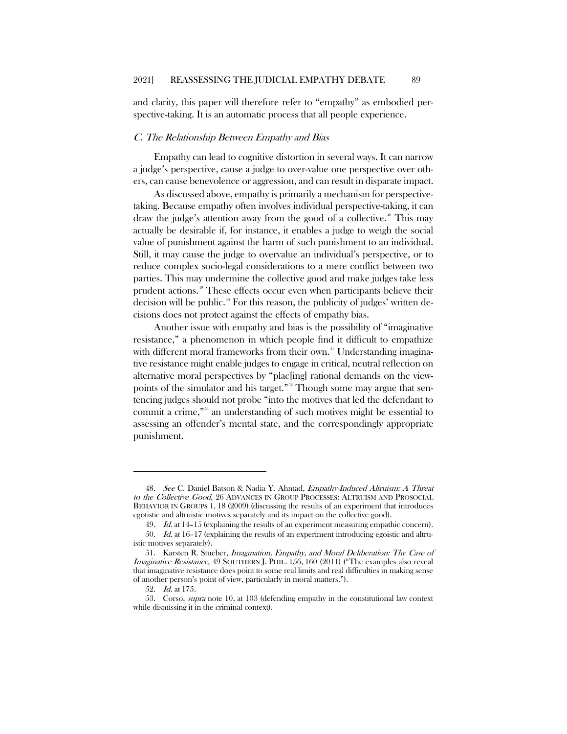and clarity, this paper will therefore refer to "empathy" as embodied perspective-taking. It is an automatic process that all people experience.

#### C. The Relationship Between Empathy and Bias

Empathy can lead to cognitive distortion in several ways. It can narrow a judge's perspective, cause a judge to over-value one perspective over others, can cause benevolence or aggression, and can result in disparate impact.

As discussed above, empathy is primarily a mechanism for perspectivetaking. Because empathy often involves individual perspective-taking, it can draw the judge's attention away from the good of a collective.<sup>[48](#page-9-0)</sup> This may actually be desirable if, for instance, it enables a judge to weigh the social value of punishment against the harm of such punishment to an individual. Still, it may cause the judge to overvalue an individual's perspective, or to reduce complex socio-legal considerations to a mere conflict between two parties. This may undermine the collective good and make judges take less prudent actions.[49](#page-9-1) These effects occur even when participants believe their decision will be public.<sup>[50](#page-9-2)</sup> For this reason, the publicity of judges' written decisions does not protect against the effects of empathy bias.

Another issue with empathy and bias is the possibility of "imaginative resistance," a phenomenon in which people find it difficult to empathize with different moral frameworks from their own.<sup>[51](#page-9-3)</sup> Understanding imaginative resistance might enable judges to engage in critical, neutral reflection on alternative moral perspectives by "plac[ing] rational demands on the view-points of the simulator and his target."<sup>[52](#page-9-4)</sup> Though some may argue that sentencing judges should not probe "into the motives that led the defendant to commit a crime,"[53](#page-9-5) an understanding of such motives might be essential to assessing an offender's mental state, and the correspondingly appropriate punishment.

<span id="page-9-0"></span><sup>48.</sup> See C. Daniel Batson & Nadia Y. Ahmad, Empathy-Induced Altruism: A Threat to the Collective Good, 26 ADVANCES IN GROUP PROCESSES: ALTRUISM AND PROSOCIAL BEHAVIOR IN GROUPS 1, 18 (2009) (discussing the results of an experiment that introduces egotistic and altruistic motives separately and its impact on the collective good).

<sup>49.</sup> Id. at 14-15 (explaining the results of an experiment measuring empathic concern).

<span id="page-9-2"></span><span id="page-9-1"></span><sup>50</sup>. Id. at 16–17 (explaining the results of an experiment introducing egoistic and altruistic motives separately).

<span id="page-9-3"></span><sup>51.</sup> Karsten R. Stueber, Imagination, Empathy, and Moral Deliberation: The Case of Imaginative Resistance, 49 SOUTHERN J. PHIL. 156, 160 (2011) ("The examples also reveal that imaginative resistance does point to some real limits and real difficulties in making sense of another person's point of view, particularly in moral matters.").

<sup>52</sup>. Id. at 175.

<span id="page-9-5"></span><span id="page-9-4"></span><sup>53.</sup> Corso, supra note 10, at 103 (defending empathy in the constitutional law context while dismissing it in the criminal context).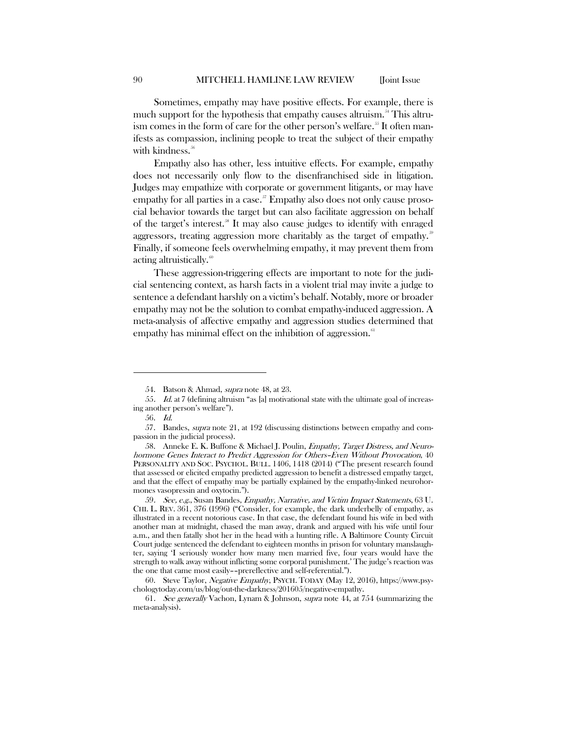Sometimes, empathy may have positive effects. For example, there is much support for the hypothesis that empathy causes altruism.<sup>[54](#page-10-0)</sup> This altru-ism comes in the form of care for the other person's welfare.<sup>[55](#page-10-1)</sup> It often manifests as compassion, inclining people to treat the subject of their empathy with kindness.<sup>[56](#page-10-2)</sup>

Empathy also has other, less intuitive effects. For example, empathy does not necessarily only flow to the disenfranchised side in litigation. Judges may empathize with corporate or government litigants, or may have empathy for all parties in a case.<sup> $57$ </sup> Empathy also does not only cause prosocial behavior towards the target but can also facilitate aggression on behalf of the target's interest.[58](#page-10-4) It may also cause judges to identify with enraged aggressors, treating aggression more charitably as the target of empathy.<sup>56</sup> Finally, if someone feels overwhelming empathy, it may prevent them from acting altruistically.<sup>[60](#page-10-6)</sup>

These aggression-triggering effects are important to note for the judicial sentencing context, as harsh facts in a violent trial may invite a judge to sentence a defendant harshly on a victim's behalf. Notably, more or broader empathy may not be the solution to combat empathy-induced aggression. A meta-analysis of affective empathy and aggression studies determined that empathy has minimal effect on the inhibition of aggression. $\frac{61}{100}$  $\frac{61}{100}$  $\frac{61}{100}$ 

<sup>54.</sup> Batson & Ahmad, supra note 48, at 23.

<span id="page-10-1"></span><span id="page-10-0"></span><sup>55</sup>. Id. at 7 (defining altruism "as [a] motivational state with the ultimate goal of increasing another person's welfare").

<sup>56.</sup> Id.

<span id="page-10-3"></span><span id="page-10-2"></span><sup>57.</sup> Bandes, supra note 21, at 192 (discussing distinctions between empathy and compassion in the judicial process).

<span id="page-10-4"></span><sup>58.</sup> Anneke E. K. Buffone & Michael J. Poulin, *Empathy, Target Distress, and Neuro*hormone Genes Interact to Predict Aggression for Others–Even Without Provocation, 40 PERSONALITY AND SOC. PSYCHOL. BULL. 1406, 1418 (2014) ("The present research found that assessed or elicited empathy predicted aggression to benefit a distressed empathy target, and that the effect of empathy may be partially explained by the empathy-linked neurohormones vasopressin and oxytocin.").

<span id="page-10-5"></span><sup>59.</sup> See, e.g., Susan Bandes, Empathy, Narrative, and Victim Impact Statements, 63 U. CHI. L. REV. 361, 376 (1996) ("Consider, for example, the dark underbelly of empathy, as illustrated in a recent notorious case. In that case, the defendant found his wife in bed with another man at midnight, chased the man away, drank and argued with his wife until four a.m., and then fatally shot her in the head with a hunting rifle. A Baltimore County Circuit Court judge sentenced the defendant to eighteen months in prison for voluntary manslaughter, saying 'I seriously wonder how many men married five, four years would have the strength to walk away without inflicting some corporal punishment.' The judge's reaction was the one that came most easily––prereflective and self-referential.").

<span id="page-10-6"></span><sup>60.</sup> Steve Taylor, Negative Empathy, PSYCH. TODAY (May 12, 2016), https://www.psychologytoday.com/us/blog/out-the-darkness/201605/negative-empathy.

<span id="page-10-7"></span><sup>61</sup>. See generally Vachon, Lynam & Johnson, supra note 44, at 754 (summarizing the meta-analysis).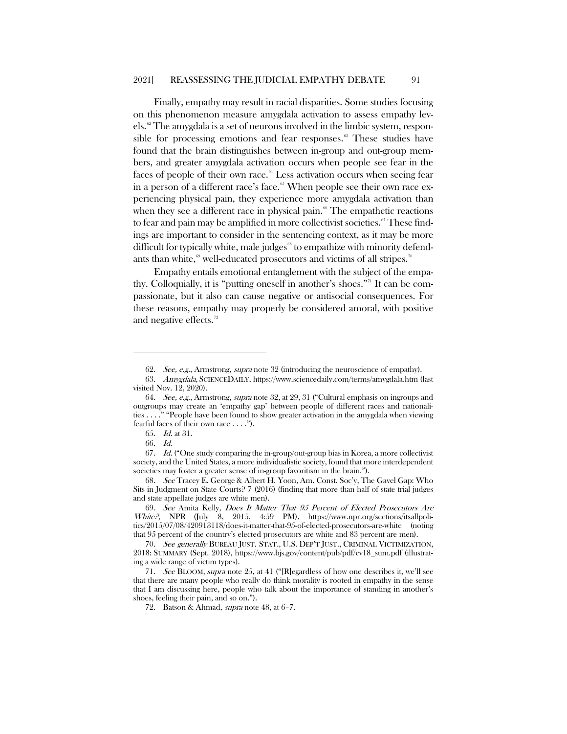Finally, empathy may result in racial disparities. Some studies focusing on this phenomenon measure amygdala activation to assess empathy levels.[62](#page-11-0) The amygdala is a set of neurons involved in the limbic system, responsible for processing emotions and fear responses.<sup> $\circ$ </sup> These studies have found that the brain distinguishes between in-group and out-group members, and greater amygdala activation occurs when people see fear in the faces of people of their own race. $64$  Less activation occurs when seeing fear in a person of a different race's face.<sup>[65](#page-11-3)</sup> When people see their own race experiencing physical pain, they experience more amygdala activation than when they see a different race in physical pain.<sup> $\frac{6}{5}$ </sup> The empathetic reactions to fear and pain may be amplified in more collectivist societies. $\degree$  These findings are important to consider in the sentencing context, as it may be more difficult for typically white, male judges<sup>®</sup> to empathize with minority defendants than white, $69$  well-educated prosecutors and victims of all stripes.<sup>[70](#page-11-8)</sup>

Empathy entails emotional entanglement with the subject of the empathy. Colloquially, it is "putting oneself in another's shoes."[71](#page-11-9) It can be compassionate, but it also can cause negative or antisocial consequences. For these reasons, empathy may properly be considered amoral, with positive and negative effects.<sup>[72](#page-11-10)</sup>

 $\overline{a}$ 

<span id="page-11-8"></span>70. See generally BUREAU JUST. STAT., U.S. DEP'T JUST., CRIMINAL VICTIMIZATION, 2018: SUMMARY (Sept. 2018), https://www.bjs.gov/content/pub/pdf/cv18\_sum.pdf (illustrating a wide range of victim types).

<sup>62</sup>. See, e.g., Armstrong, supra note 32 (introducing the neuroscience of empathy).

<span id="page-11-1"></span><span id="page-11-0"></span><sup>63</sup>. Amygdala, SCIENCEDAILY, https://www.sciencedaily.com/terms/amygdala.htm (last visited Nov. 12, 2020).

<span id="page-11-2"></span><sup>64.</sup> See, e.g., Armstrong, supra note 32, at 29, 31 ("Cultural emphasis on ingroups and outgroups may create an 'empathy gap' between people of different races and nationalities . . . ." "People have been found to show greater activation in the amygdala when viewing fearful faces of their own race . . . .").

<sup>65</sup>. Id. at 31.

<sup>66.</sup> Id.

<span id="page-11-5"></span><span id="page-11-4"></span><span id="page-11-3"></span><sup>67.</sup> Id. ("One study comparing the in-group/out-group bias in Korea, a more collectivist society, and the United States, a more individualistic society, found that more interdependent societies may foster a greater sense of in-group favoritism in the brain.").

<span id="page-11-6"></span><sup>68</sup>. See Tracey E. George & Albert H. Yoon, Am. Const. Soc'y, The Gavel Gap: Who Sits in Judgment on State Courts? 7 (2016) (finding that more than half of state trial judges and state appellate judges are white men).

<span id="page-11-7"></span><sup>69</sup>. See Amita Kelly, Does It Matter That 95 Percent of Elected Prosecutors Are White?, NPR (July 8, 2015, 4:59 PM), https://www.npr.org/sections/itsallpolitics/2015/07/08/420913118/does-it-matter-that-95-of-elected-prosecutors-are-white (noting that 95 percent of the country's elected prosecutors are white and 83 percent are men).

<span id="page-11-10"></span><span id="page-11-9"></span><sup>71.</sup> See BLOOM, supra note 25, at 41 ("[R]egardless of how one describes it, we'll see that there are many people who really do think morality is rooted in empathy in the sense that I am discussing here, people who talk about the importance of standing in another's shoes, feeling their pain, and so on.").

<sup>72.</sup> Batson & Ahmad, supra note 48, at 6–7.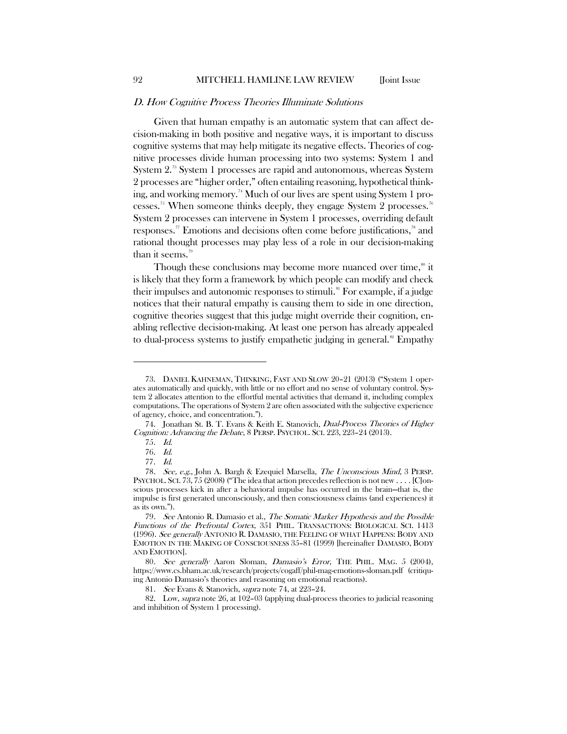#### D. How Cognitive Process Theories Illuminate Solutions

Given that human empathy is an automatic system that can affect decision-making in both positive and negative ways, it is important to discuss cognitive systems that may help mitigate its negative effects. Theories of cognitive processes divide human processing into two systems: System 1 and System 2.[73](#page-12-0) System 1 processes are rapid and autonomous, whereas System 2 processes are "higher order," often entailing reasoning, hypothetical think-ing, and working memory.<sup>[74](#page-12-1)</sup> Much of our lives are spent using System 1 pro-cesses.<sup>[75](#page-12-2)</sup> When someone thinks deeply, they engage System 2 processes.<sup>[76](#page-12-3)</sup> System 2 processes can intervene in System 1 processes, overriding default responses.<sup>[77](#page-12-4)</sup> Emotions and decisions often come before justifications,<sup>[78](#page-12-5)</sup> and rational thought processes may play less of a role in our decision-making than it seems.<sup>[79](#page-12-6)</sup>

Though these conclusions may become more nuanced over time,<sup>[80](#page-12-7)</sup> it is likely that they form a framework by which people can modify and check their impulses and autonomic responses to stimuli.<sup>[81](#page-12-8)</sup> For example, if a judge notices that their natural empathy is causing them to side in one direction, cognitive theories suggest that this judge might override their cognition, enabling reflective decision-making. At least one person has already appealed to dual-process systems to justify empathetic judging in general.<sup>[82](#page-12-9)</sup> Empathy

<span id="page-12-0"></span><sup>73.</sup> DANIEL KAHNEMAN, THINKING, FAST AND SLOW 20–21 (2013) ("System 1 operates automatically and quickly, with little or no effort and no sense of voluntary control. System 2 allocates attention to the effortful mental activities that demand it, including complex computations. The operations of System 2 are often associated with the subjective experience of agency, choice, and concentration.").

<span id="page-12-2"></span><span id="page-12-1"></span><sup>74.</sup> Jonathan St. B. T. Evans & Keith E. Stanovich, *Dual-Process Theories of Higher* Cognition: Advancing the Debate, 8 PERSP. PSYCHOL. SCI. 223, 223–24 (2013).

<sup>75.</sup> Id.

<sup>76.</sup> Id.

<sup>77.</sup> Id.

<span id="page-12-5"></span><span id="page-12-4"></span><span id="page-12-3"></span><sup>78.</sup> See, e.g., John A. Bargh & Ezequiel Marsella, The Unconscious Mind, 3 PERSP. PSYCHOL. SCI. 73, 75 (2008) ("The idea that action precedes reflection is not new . . . . [C]onscious processes kick in after a behavioral impulse has occurred in the brain—that is, the impulse is first generated unconsciously, and then consciousness claims (and experiences) it as its own.").

<span id="page-12-6"></span><sup>79</sup>. See Antonio R. Damasio et al., The Somatic Marker Hypothesis and the Possible Functions of the Prefrontal Cortex, 351 PHIL. TRANSACTIONS: BIOLOGICAL SCI. 1413 (1996). See generally ANTONIO R. DAMASIO, THE FEELING OF WHAT HAPPENS: BODY AND EMOTION IN THE MAKING OF CONSCIOUSNESS 35–81 (1999) [hereinafter DAMASIO, BODY AND EMOTION].

<span id="page-12-7"></span><sup>80.</sup> See generally Aaron Sloman, Damasio's Error, THE PHIL. MAG. 5 (2004), https://www.cs.bham.ac.uk/research/projects/cogaff/phil-mag-emotions-sloman.pdf (critiquing Antonio Damasio's theories and reasoning on emotional reactions).

<sup>81.</sup> See Evans & Stanovich, supra note 74, at 223-24.

<span id="page-12-9"></span><span id="page-12-8"></span><sup>82.</sup> Low, supra note 26, at 102–03 (applying dual-process theories to judicial reasoning and inhibition of System 1 processing).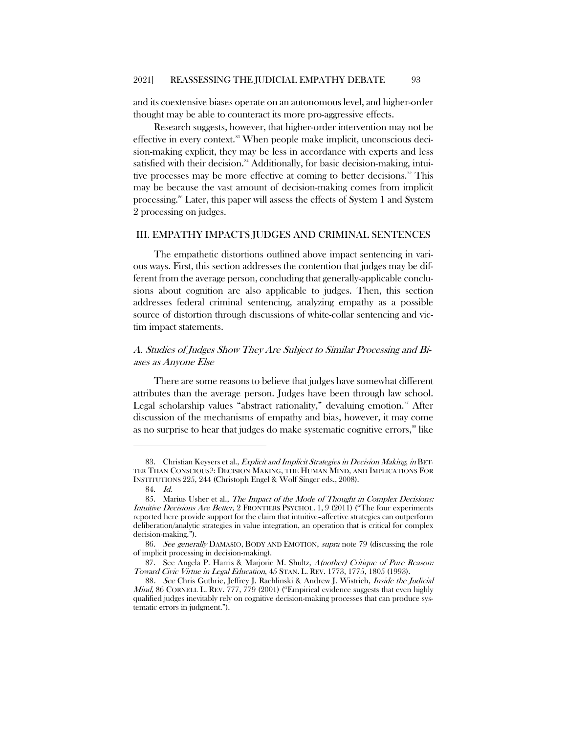and its coextensive biases operate on an autonomous level, and higher-order thought may be able to counteract its more pro-aggressive effects.

Research suggests, however, that higher-order intervention may not be effective in every context.[83](#page-13-0) When people make implicit, unconscious decision-making explicit, they may be less in accordance with experts and less satisfied with their decision.<sup>[84](#page-13-1)</sup> Additionally, for basic decision-making, intui-tive processes may be more effective at coming to better decisions.<sup>[85](#page-13-2)</sup> This may be because the vast amount of decision-making comes from implicit processing.[86](#page-13-3) Later, this paper will assess the effects of System 1 and System 2 processing on judges.

#### III. EMPATHY IMPACTS JUDGES AND CRIMINAL SENTENCES

The empathetic distortions outlined above impact sentencing in various ways. First, this section addresses the contention that judges may be different from the average person, concluding that generally-applicable conclusions about cognition are also applicable to judges. Then, this section addresses federal criminal sentencing, analyzing empathy as a possible source of distortion through discussions of white-collar sentencing and victim impact statements.

## A. Studies of Judges Show They Are Subject to Similar Processing and Biases as Anyone Else

There are some reasons to believe that judges have somewhat different attributes than the average person. Judges have been through law school. Legal scholarship values "abstract rationality," devaluing emotion. $\mathbf{F}$  After discussion of the mechanisms of empathy and bias, however, it may come as no surprise to hear that judges do make systematic cognitive errors,<sup>[88](#page-13-5)</sup> like

<span id="page-13-0"></span><sup>83.</sup> Christian Keysers et al., Explicit and Implicit Strategies in Decision Making, in BET-TER THAN CONSCIOUS?: DECISION MAKING, THE HUMAN MIND, AND IMPLICATIONS FOR INSTITUTIONS 225, 244 (Christoph Engel & Wolf Singer eds., 2008).

<sup>84.</sup> Id.

<span id="page-13-2"></span><span id="page-13-1"></span><sup>85.</sup> Marius Usher et al., The Impact of the Mode of Thought in Complex Decisions: Intuitive Decisions Are Better, 2 FRONTIERS PSYCHOL. 1, 9 (2011) ("The four experiments reported here provide support for the claim that intuitive–affective strategies can outperform deliberation/analytic strategies in value integration, an operation that is critical for complex decision-making.").

<span id="page-13-4"></span><span id="page-13-3"></span><sup>86</sup>. See generally DAMASIO, BODY AND EMOTION, supra note 79 (discussing the role of implicit processing in decision-making).

<sup>87.</sup> See Angela P. Harris & Marjorie M. Shultz, A(nother) Critique of Pure Reason: Toward Civic Virtue in Legal Education, 45 STAN. L. REV. 1773, 1775, 1805 (1993).

<span id="page-13-5"></span><sup>88.</sup> See Chris Guthrie, Jeffrey J. Rachlinski & Andrew J. Wistrich, *Inside the Judicial Mind*, 86 CORNELL L. REV. 777, 779 (2001) ("Empirical evidence suggests that even highly qualified judges inevitably rely on cognitive decision-making processes that can produce systematic errors in judgment.").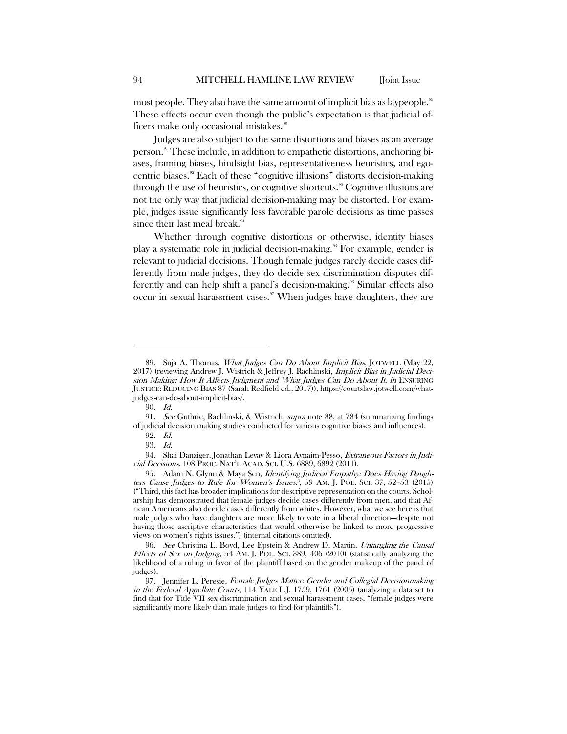most people. They also have the same amount of implicit bias as laypeople.<sup>[89](#page-14-0)</sup> These effects occur even though the public's expectation is that judicial of-ficers make only occasional mistakes.<sup>[90](#page-14-1)</sup>

Judges are also subject to the same distortions and biases as an average person.[91](#page-14-2) These include, in addition to empathetic distortions, anchoring biases, framing biases, hindsight bias, representativeness heuristics, and egocentric biases.[92](#page-14-3) Each of these "cognitive illusions" distorts decision-making through the use of heuristics, or cognitive shortcuts.<sup>[93](#page-14-4)</sup> Cognitive illusions are not the only way that judicial decision-making may be distorted. For example, judges issue significantly less favorable parole decisions as time passes since their last meal break.<sup>[94](#page-14-5)</sup>

Whether through cognitive distortions or otherwise, identity biases play a systematic role in judicial decision-making.<sup>[95](#page-14-6)</sup> For example, gender is relevant to judicial decisions. Though female judges rarely decide cases differently from male judges, they do decide sex discrimination disputes dif-ferently and can help shift a panel's decision-making.<sup>[96](#page-14-7)</sup> Similar effects also occur in sexual harassment cases. $\mathscr{I}$  When judges have daughters, they are

<span id="page-14-0"></span><sup>89.</sup> Suja A. Thomas, What Judges Can Do About Implicit Bias, JOTWELL (May 22, 2017) (reviewing Andrew J. Wistrich & Jeffrey J. Rachlinski, Implicit Bias in Judicial Decision Making: How It Affects Judgment and What Judges Can Do About It, in ENSURING JUSTICE: REDUCING BIAS 87 (Sarah Redfield ed., 2017)), https://courtslaw.jotwell.com/whatjudges-can-do-about-implicit-bias/.

<sup>90.</sup> Id.

<span id="page-14-3"></span><span id="page-14-2"></span><span id="page-14-1"></span><sup>91.</sup> See Guthrie, Rachlinski, & Wistrich, supra note 88, at 784 (summarizing findings of judicial decision making studies conducted for various cognitive biases and influences).

<sup>92.</sup> Id. 93. Id.

<span id="page-14-5"></span><span id="page-14-4"></span><sup>94.</sup> Shai Danziger, Jonathan Levav & Liora Avnaim-Pesso, Extraneous Factors in Judicial Decisions, 108 PROC. NAT'L ACAD. SCI. U.S. 6889, 6892 (2011).

<span id="page-14-6"></span><sup>95.</sup> Adam N. Glynn & Maya Sen, Identifying Judicial Empathy: Does Having Daughters Cause Judges to Rule for Women's Issues?, 59 AM. J. POL. SCI. 37, 52–53 (2015) ("Third, this fact has broader implications for descriptive representation on the courts. Scholarship has demonstrated that female judges decide cases differently from men, and that African Americans also decide cases differently from whites. However, what we see here is that male judges who have daughters are more likely to vote in a liberal direction—despite not having those ascriptive characteristics that would otherwise be linked to more progressive views on women's rights issues.") (internal citations omitted).

<span id="page-14-7"></span><sup>96.</sup> See Christina L. Boyd, Lee Epstein & Andrew D. Martin. Untangling the Causal Effects of Sex on Judging, 54 AM. J. POL. SCI. 389, 406 (2010) (statistically analyzing the likelihood of a ruling in favor of the plaintiff based on the gender makeup of the panel of judges).

<span id="page-14-8"></span><sup>97.</sup> Jennifer L. Peresie, Female Judges Matter: Gender and Collegial Decisionmaking in the Federal Appellate Courts, 114 YALE L.J. 1759, 1761 (2005) (analyzing a data set to find that for Title VII sex discrimination and sexual harassment cases, "female judges were significantly more likely than male judges to find for plaintiffs").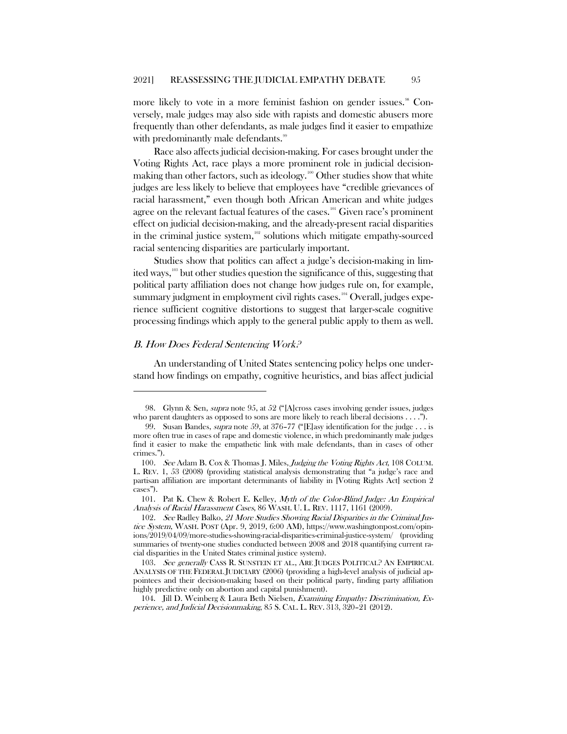more likely to vote in a more feminist fashion on gender issues.<sup>38</sup> Conversely, male judges may also side with rapists and domestic abusers more frequently than other defendants, as male judges find it easier to empathize with predominantly male defendants.<sup>[99](#page-15-1)</sup>

Race also affects judicial decision-making. For cases brought under the Voting Rights Act, race plays a more prominent role in judicial decision-making than other factors, such as ideology.<sup>[100](#page-15-2)</sup> Other studies show that white judges are less likely to believe that employees have "credible grievances of racial harassment," even though both African American and white judges agree on the relevant factual features of the cases.<sup>[101](#page-15-3)</sup> Given race's prominent effect on judicial decision-making, and the already-present racial disparities in the criminal justice system, $102$  solutions which mitigate empathy-sourced racial sentencing disparities are particularly important.

Studies show that politics can affect a judge's decision-making in limited ways,[103](#page-15-5) but other studies question the significance of this, suggesting that political party affiliation does not change how judges rule on, for example, summary judgment in employment civil rights cases.<sup>[104](#page-15-6)</sup> Overall, judges experience sufficient cognitive distortions to suggest that larger-scale cognitive processing findings which apply to the general public apply to them as well.

#### B. How Does Federal Sentencing Work?

 $\overline{a}$ 

An understanding of United States sentencing policy helps one understand how findings on empathy, cognitive heuristics, and bias affect judicial

<span id="page-15-0"></span><sup>98.</sup> Glynn & Sen, *supra* note 95, at 52 ("[A]cross cases involving gender issues, judges who parent daughters as opposed to sons are more likely to reach liberal decisions . . . .").

<span id="page-15-1"></span><sup>99.</sup> Susan Bandes, *supra* note 59, at 376-77 ("[E]asy identification for the judge . . . is more often true in cases of rape and domestic violence, in which predominantly male judges find it easier to make the empathetic link with male defendants, than in cases of other crimes.").

<span id="page-15-2"></span><sup>100.</sup> See Adam B. Cox & Thomas J. Miles, Judging the Voting Rights Act, 108 COLUM. L. REV. 1, 53 (2008) (providing statistical analysis demonstrating that "a judge's race and partisan affiliation are important determinants of liability in [Voting Rights Act] section 2 cases").

<span id="page-15-3"></span><sup>101.</sup> Pat K. Chew & Robert E. Kelley, Myth of the Color-Blind Judge: An Empirical Analysis of Racial Harassment Cases, 86 WASH. U. L. REV. 1117, 1161 (2009).

<span id="page-15-4"></span><sup>102</sup>. See Radley Balko, 21 More Studies Showing Racial Disparities in the Criminal Justice System, WASH. POST (Apr. 9, 2019, 6:00 AM), https://www.washingtonpost.com/opinions/2019/04/09/more-studies-showing-racial-disparities-criminal-justice-system/ (providing summaries of twenty-one studies conducted between 2008 and 2018 quantifying current racial disparities in the United States criminal justice system).

<span id="page-15-5"></span><sup>103.</sup> See generally CASS R. SUNSTEIN ET AL., ARE JUDGES POLITICAL? AN EMPIRICAL ANALYSIS OF THE FEDERAL JUDICIARY (2006) (providing a high-level analysis of judicial appointees and their decision-making based on their political party, finding party affiliation highly predictive only on abortion and capital punishment).

<span id="page-15-6"></span><sup>104.</sup> Jill D. Weinberg & Laura Beth Nielsen, Examining Empathy: Discrimination, Experience, and Judicial Decisionmaking, 85 S. CAL. L. REV. 313, 320–21 (2012).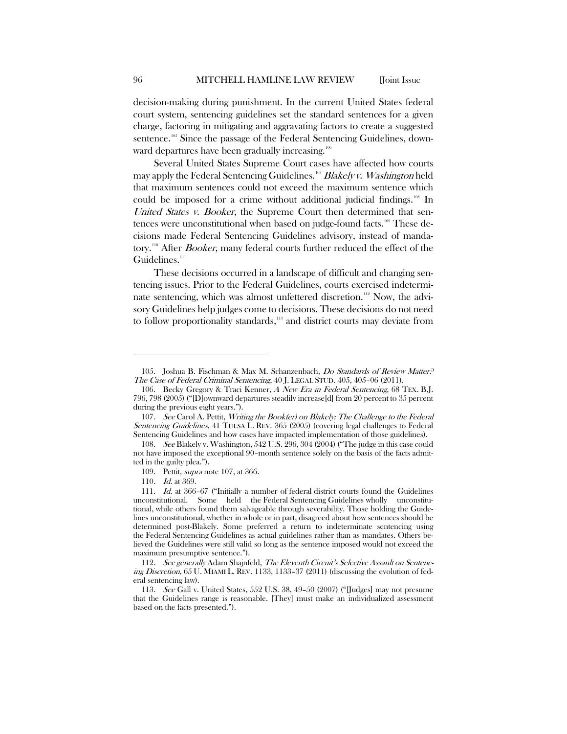decision-making during punishment. In the current United States federal court system, sentencing guidelines set the standard sentences for a given charge, factoring in mitigating and aggravating factors to create a suggested sentence.<sup>[105](#page-16-0)</sup> Since the passage of the Federal Sentencing Guidelines, down-ward departures have been gradually increasing.<sup>[106](#page-16-1)</sup>

Several United States Supreme Court cases have affected how courts may apply the Federal Sentencing Guidelines.<sup>[107](#page-16-2)</sup> Blakely v. Washington held that maximum sentences could not exceed the maximum sentence which could be imposed for a crime without additional judicial findings.<sup>[108](#page-16-3)</sup> In United States v. Booker, the Supreme Court then determined that sen-tences were unconstitutional when based on judge-found facts.<sup>[109](#page-16-4)</sup> These decisions made Federal Sentencing Guidelines advisory, instead of manda-tory.<sup>[110](#page-16-5)</sup> After *Booker*, many federal courts further reduced the effect of the Guidelines.<sup>[111](#page-16-6)</sup>

These decisions occurred in a landscape of difficult and changing sentencing issues. Prior to the Federal Guidelines, courts exercised indetermi-nate sentencing, which was almost unfettered discretion.<sup>[112](#page-16-7)</sup> Now, the advisory Guidelines help judges come to decisions. These decisions do not need to follow proportionality standards,<sup>[113](#page-16-8)</sup> and district courts may deviate from

110. Id. at 369.

<span id="page-16-0"></span><sup>105.</sup> Joshua B. Fischman & Max M. Schanzenbach, Do Standards of Review Matter.<sup>2</sup> The Case of Federal Criminal Sentencing, 40 J. LEGAL STUD. 405, 405–06 (2011).

<span id="page-16-1"></span><sup>106.</sup> Becky Gregory & Traci Kenner, <sup>A</sup> New Era in Federal Sentencing, 68 TEX. B.J. 796, 798 (2005) ("[D]ownward departures steadily increase[d] from 20 percent to 35 percent during the previous eight years.").

<span id="page-16-2"></span><sup>107.</sup> See Carol A. Pettit, Writing the Book(er) on Blakely: The Challenge to the Federal Sentencing Guidelines, 41 TULSA L. REV. 365 (2005) (covering legal challenges to Federal Sentencing Guidelines and how cases have impacted implementation of those guidelines).

<span id="page-16-3"></span><sup>108.</sup> See Blakely v. Washington, 542 U.S. 296, 304 (2004) ("The judge in this case could not have imposed the exceptional 90–month sentence solely on the basis of the facts admitted in the guilty plea.").

<sup>109.</sup> Pettit, *supra* note 107, at 366.

<span id="page-16-6"></span><span id="page-16-5"></span><span id="page-16-4"></span><sup>111</sup>. Id. at 366–67 ("Initially a number of federal district courts found the Guidelines unconstitutional. Some held the Federal Sentencing Guidelines wholly unconstitutional, while others found them salvageable through severability. Those holding the Guidelines unconstitutional, whether in whole or in part, disagreed about how sentences should be determined post-Blakely. Some preferred a return to indeterminate sentencing using the Federal Sentencing Guidelines as actual guidelines rather than as mandates. Others believed the Guidelines were still valid so long as the sentence imposed would not exceed the maximum presumptive sentence.").

<span id="page-16-7"></span><sup>112.</sup> See generally Adam Shajnfeld, The Eleventh Circuit's Selective Assault on Sentencing Discretion, 65 U. MIAMI L. REV. 1133, 1133–37 (2011) (discussing the evolution of federal sentencing law).

<span id="page-16-8"></span><sup>113</sup>. See Gall v. United States, 552 U.S. 38, 49–50 (2007) ("[Judges] may not presume that the Guidelines range is reasonable. [They] must make an individualized assessment based on the facts presented.").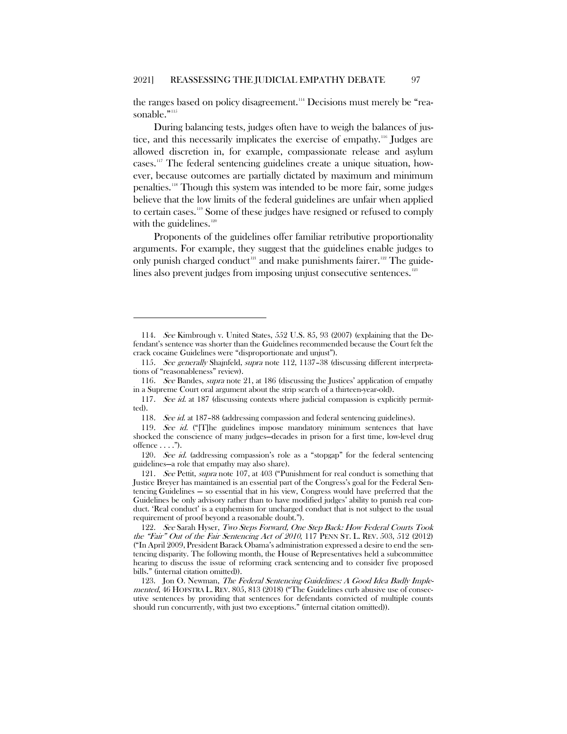the ranges based on policy disagreement.<sup>114</sup> Decisions must merely be "rea-sonable."<sup>[115](#page-17-1)</sup>

During balancing tests, judges often have to weigh the balances of justice, and this necessarily implicates the exercise of empathy.[116](#page-17-2) Judges are allowed discretion in, for example, compassionate release and asylum cases. [117](#page-17-3) The federal sentencing guidelines create a unique situation, however, because outcomes are partially dictated by maximum and minimum penalties.[118](#page-17-4) Though this system was intended to be more fair, some judges believe that the low limits of the federal guidelines are unfair when applied to certain cases.[119](#page-17-5) Some of these judges have resigned or refused to comply with the guidelines.<sup>[120](#page-17-6)</sup>

Proponents of the guidelines offer familiar retributive proportionality arguments. For example, they suggest that the guidelines enable judges to only punish charged conduct<sup>[121](#page-17-7)</sup> and make punishments fairer.<sup>[122](#page-17-8)</sup> The guide-lines also prevent judges from imposing unjust consecutive sentences.<sup>[123](#page-17-9)</sup>

<span id="page-17-0"></span><sup>114</sup>. See Kimbrough v. United States, 552 U.S. 85, 93 (2007) (explaining that the Defendant's sentence was shorter than the Guidelines recommended because the Court felt the crack cocaine Guidelines were "disproportionate and unjust").

<span id="page-17-1"></span><sup>115</sup>. See generally Shajnfeld, supra note 112, 1137–38 (discussing different interpretations of "reasonableness" review).

<span id="page-17-2"></span><sup>116.</sup> See Bandes, supra note 21, at 186 (discussing the Justices' application of empathy in a Supreme Court oral argument about the strip search of a thirteen-year-old).

<span id="page-17-3"></span><sup>117</sup>. See id. at 187 (discussing contexts where judicial compassion is explicitly permitted).

<sup>118.</sup> See id. at 187-88 (addressing compassion and federal sentencing guidelines).

<span id="page-17-5"></span><span id="page-17-4"></span><sup>119.</sup> See id. ("[T]he guidelines impose mandatory minimum sentences that have shocked the conscience of many judges—decades in prison for a first time, low-level drug offence  $\dots$ .").

<span id="page-17-6"></span><sup>120.</sup> See id. (addressing compassion's role as a "stopgap" for the federal sentencing guidelines—a role that empathy may also share).

<span id="page-17-7"></span><sup>121.</sup> See Pettit, supra note 107, at 403 ("Punishment for real conduct is something that Justice Breyer has maintained is an essential part of the Congress's goal for the Federal Sentencing Guidelines — so essential that in his view, Congress would have preferred that the Guidelines be only advisory rather than to have modified judges' ability to punish real conduct. 'Real conduct' is a euphemism for uncharged conduct that is not subject to the usual requirement of proof beyond a reasonable doubt.").

<span id="page-17-8"></span><sup>122</sup>. See Sarah Hyser, Two Steps Forward, One Step Back: How Federal Courts Took the "Fair" Out of the Fair Sentencing Act of <sup>2010</sup>, 117 PENN ST. L. REV. 503, 512 (2012) ("In April 2009, President Barack Obama's administration expressed a desire to end the sentencing disparity. The following month, the House of Representatives held a subcommittee hearing to discuss the issue of reforming crack sentencing and to consider five proposed bills." (internal citation omitted)).

<span id="page-17-9"></span><sup>123.</sup> Jon O. Newman, The Federal Sentencing Guidelines: A Good Idea Badly Implemented, 46 HOFSTRA L. REV. 805, 813 (2018) ("The Guidelines curb abusive use of consecutive sentences by providing that sentences for defendants convicted of multiple counts should run concurrently, with just two exceptions." (internal citation omitted)).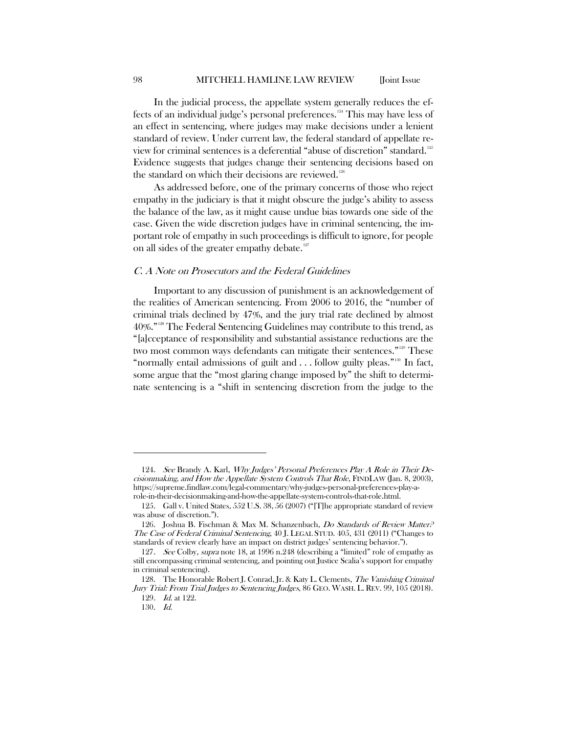In the judicial process, the appellate system generally reduces the effects of an individual judge's personal preferences.[124](#page-18-0) This may have less of an effect in sentencing, where judges may make decisions under a lenient standard of review. Under current law, the federal standard of appellate review for criminal sentences is a deferential "abuse of discretion" standard.[125](#page-18-1) Evidence suggests that judges change their sentencing decisions based on the standard on which their decisions are reviewed.<sup>[126](#page-18-2)</sup>

As addressed before, one of the primary concerns of those who reject empathy in the judiciary is that it might obscure the judge's ability to assess the balance of the law, as it might cause undue bias towards one side of the case. Given the wide discretion judges have in criminal sentencing, the important role of empathy in such proceedings is difficult to ignore, for people on all sides of the greater empathy debate.<sup>127</sup>

#### C. A Note on Prosecutors and the Federal Guidelines

Important to any discussion of punishment is an acknowledgement of the realities of American sentencing. From 2006 to 2016, the "number of criminal trials declined by 47%, and the jury trial rate declined by almost 40%."[128](#page-18-4) The Federal Sentencing Guidelines may contribute to this trend, as "[a]cceptance of responsibility and substantial assistance reductions are the two most common ways defendants can mitigate their sentences."[129](#page-18-5) These "normally entail admissions of guilt and  $\ldots$  follow guilty pleas."<sup>[130](#page-18-6)</sup> In fact, some argue that the "most glaring change imposed by" the shift to determinate sentencing is a "shift in sentencing discretion from the judge to the

<span id="page-18-0"></span><sup>124.</sup> See Brandy A. Karl, *Why Judges' Personal Preferences Play A Role in Their De*cisionmaking, and How the Appellate System Controls That Role, FINDLAW (Jan. 8, 2003), https://supreme.findlaw.com/legal-commentary/why-judges-personal-preferences-play-arole-in-their-decisionmaking-and-how-the-appellate-system-controls-that-role.html.

<span id="page-18-1"></span><sup>125.</sup> Gall v. United States, 552 U.S. 38, 56 (2007) ("[T]he appropriate standard of review was abuse of discretion.").

<span id="page-18-2"></span><sup>126.</sup> Joshua B. Fischman & Max M. Schanzenbach, *Do Standards of Review Matter*.<sup>2</sup> The Case of Federal Criminal Sentencing, 40 J. LEGAL STUD. 405, 431 (2011) ("Changes to standards of review clearly have an impact on district judges' sentencing behavior.").

<span id="page-18-3"></span><sup>127.</sup> See Colby, supra note 18, at 1996 n.248 (describing a "limited" role of empathy as still encompassing criminal sentencing, and pointing out Justice Scalia's support for empathy in criminal sentencing).

<span id="page-18-6"></span><span id="page-18-5"></span><span id="page-18-4"></span><sup>128.</sup> The Honorable Robert J. Conrad, Jr. & Katy L. Clements, The Vanishing Criminal Jury Trial: From Trial Judges to Sentencing Judges, 86 GEO. WASH. L. REV. 99, 105 (2018).

<sup>129</sup>. Id. at 122.

<sup>130.</sup> Id.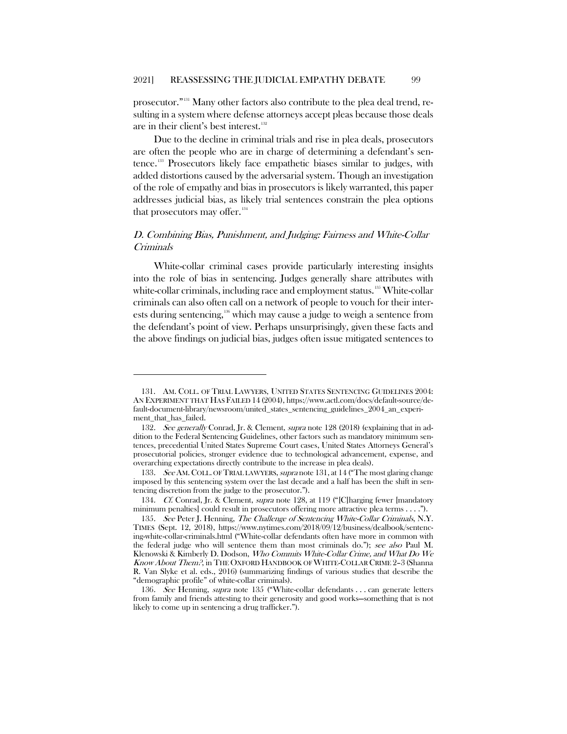prosecutor."[131](#page-19-0) Many other factors also contribute to the plea deal trend, resulting in a system where defense attorneys accept pleas because those deals are in their client's best interest.<sup>[132](#page-19-1)</sup>

Due to the decline in criminal trials and rise in plea deals, prosecutors are often the people who are in charge of determining a defendant's sentence.[133](#page-19-2) Prosecutors likely face empathetic biases similar to judges, with added distortions caused by the adversarial system. Though an investigation of the role of empathy and bias in prosecutors is likely warranted, this paper addresses judicial bias, as likely trial sentences constrain the plea options that prosecutors may offer.<sup>[134](#page-19-3)</sup>

## D. Combining Bias, Punishment, and Judging: Fairness and White-Collar Criminals

White-collar criminal cases provide particularly interesting insights into the role of bias in sentencing. Judges generally share attributes with white-collar criminals, including race and employment status.<sup>[135](#page-19-4)</sup> White-collar criminals can also often call on a network of people to vouch for their inter-ests during sentencing,<sup>[136](#page-19-5)</sup> which may cause a judge to weigh a sentence from the defendant's point of view. Perhaps unsurprisingly, given these facts and the above findings on judicial bias, judges often issue mitigated sentences to

<span id="page-19-0"></span><sup>131.</sup> AM. COLL. OF TRIAL LAWYERS, UNITED STATES SENTENCING GUIDELINES 2004: AN EXPERIMENT THAT HAS FAILED 14 (2004), https://www.actl.com/docs/default-source/default-document-library/newsroom/united\_states\_sentencing\_guidelines\_2004\_an\_experiment\_that\_has\_failed.

<span id="page-19-1"></span><sup>132.</sup> See generally Conrad, Jr. & Clement, supra note 128 (2018) (explaining that in addition to the Federal Sentencing Guidelines, other factors such as mandatory minimum sentences, precedential United States Supreme Court cases, United States Attorneys General's prosecutorial policies, stronger evidence due to technological advancement, expense, and overarching expectations directly contribute to the increase in plea deals).

<span id="page-19-2"></span><sup>133.</sup> See AM. COLL. OF TRIAL LAWYERS, supra note 131, at 14 ("The most glaring change imposed by this sentencing system over the last decade and a half has been the shift in sentencing discretion from the judge to the prosecutor.").

<span id="page-19-3"></span><sup>134</sup>. Cf. Conrad, Jr. & Clement, supra note 128, at 119 ("[C]harging fewer [mandatory minimum penalties] could result in prosecutors offering more attractive plea terms . . . .").

<span id="page-19-4"></span><sup>135</sup>. See Peter J. Henning, The Challenge of Sentencing White-Collar Criminals, N.Y. TIMES (Sept. 12, 2018), https://www.nytimes.com/2018/09/12/business/dealbook/sentencing-white-collar-criminals.html ("White-collar defendants often have more in common with the federal judge who will sentence them than most criminals do."); see also Paul M. Klenowski & Kimberly D. Dodson, Who Commits White-Collar Crime, and What Do We Know About Them?, in THE OXFORD HANDBOOK OF WHITE-COLLAR CRIME 2–3 (Shanna R. Van Slyke et al. eds., 2016) (summarizing findings of various studies that describe the "demographic profile" of white-collar criminals).

<span id="page-19-5"></span><sup>136</sup>. See Henning, supra note 135 ("White-collar defendants . . . can generate letters from family and friends attesting to their generosity and good works—something that is not likely to come up in sentencing a drug trafficker.").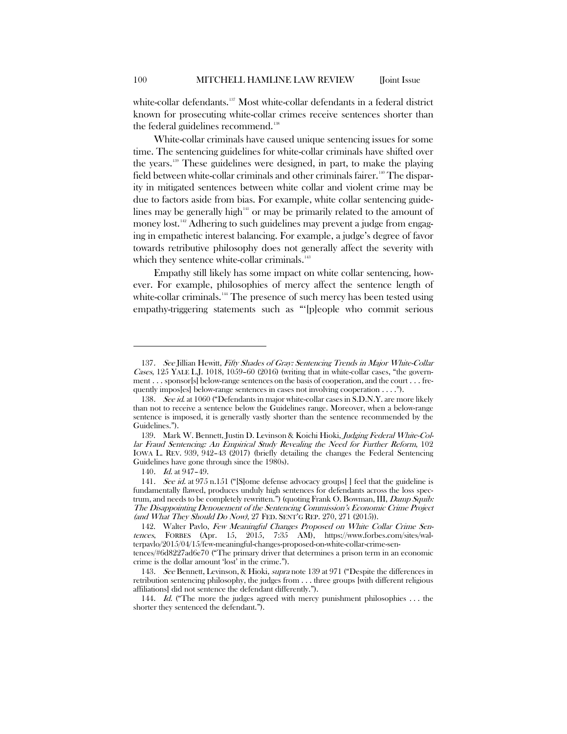white-collar defendants.<sup>[137](#page-20-0)</sup> Most white-collar defendants in a federal district known for prosecuting white-collar crimes receive sentences shorter than the federal guidelines recommend.<sup>[138](#page-20-1)</sup>

White-collar criminals have caused unique sentencing issues for some time. The sentencing guidelines for white-collar criminals have shifted over the years[.139](#page-20-2) These guidelines were designed, in part, to make the playing field between white-collar criminals and other criminals fairer.<sup>[140](#page-20-3)</sup> The disparity in mitigated sentences between white collar and violent crime may be due to factors aside from bias. For example, white collar sentencing guidelines may be generally high $141$ <sup>th</sup> or may be primarily related to the amount of money lost.<sup>[142](#page-20-5)</sup> Adhering to such guidelines may prevent a judge from engaging in empathetic interest balancing. For example, a judge's degree of favor towards retributive philosophy does not generally affect the severity with which they sentence white-collar criminals.<sup>[143](#page-20-6)</sup>

Empathy still likely has some impact on white collar sentencing, however. For example, philosophies of mercy affect the sentence length of white-collar criminals. $144$  The presence of such mercy has been tested using empathy-triggering statements such as "'[p]eople who commit serious

<span id="page-20-0"></span><sup>137</sup>. See Jillian Hewitt, Fifty Shades of Gray: Sentencing Trends in Major White-Collar Cases, 125 YALE L.J. 1018, 1059–60 (2016) (writing that in white-collar cases, "the government . . . sponsor[s] below-range sentences on the basis of cooperation, and the court . . . frequently impos[es] below-range sentences in cases not involving cooperation . . . .").

<span id="page-20-1"></span><sup>138</sup>. See id. at 1060 ("Defendants in major white-collar cases in S.D.N.Y. are more likely than not to receive a sentence below the Guidelines range. Moreover, when a below-range sentence is imposed, it is generally vastly shorter than the sentence recommended by the Guidelines.").

<span id="page-20-2"></span><sup>139.</sup> Mark W. Bennett, Justin D. Levinson & Koichi Hioki, Judging Federal White-Collar Fraud Sentencing: An Empirical Study Revealing the Need for Further Reform, 102 IOWA L. REV. 939, 942–43 (2017) (briefly detailing the changes the Federal Sentencing Guidelines have gone through since the 1980s).

<sup>140</sup>. Id. at 947–49.

<span id="page-20-4"></span><span id="page-20-3"></span><sup>141.</sup> See id. at 975 n.151 ("Some defense advocacy groups [] feel that the guideline is fundamentally flawed, produces unduly high sentences for defendants across the loss spectrum, and needs to be completely rewritten.") (quoting Frank O. Bowman, III, Damp Squib: The Disappointing Denouement of the Sentencing Commission's Economic Crime Project (and What They Should Do Now), 27 FED. SENT'G REP. 270, 271 (2015)).

<span id="page-20-5"></span><sup>142.</sup> Walter Pavlo, Few Meaningful Changes Proposed on White Collar Crime Sentences, FORBES (Apr. 15, 2015, 7:35 AM), https://www.forbes.com/sites/walterpavlo/2015/04/15/few-meaningful-changes-proposed-on-white-collar-crime-sen-

tences/#6d8227ad6e70 ("The primary driver that determines a prison term in an economic crime is the dollar amount 'lost' in the crime.").

<span id="page-20-6"></span><sup>143.</sup> See Bennett, Levinson, & Hioki, supra note 139 at 971 ("Despite the differences in retribution sentencing philosophy, the judges from . . . three groups [with different religious affiliations] did not sentence the defendant differently.").

<span id="page-20-7"></span><sup>144.</sup> Id. ("The more the judges agreed with mercy punishment philosophies ... the shorter they sentenced the defendant.").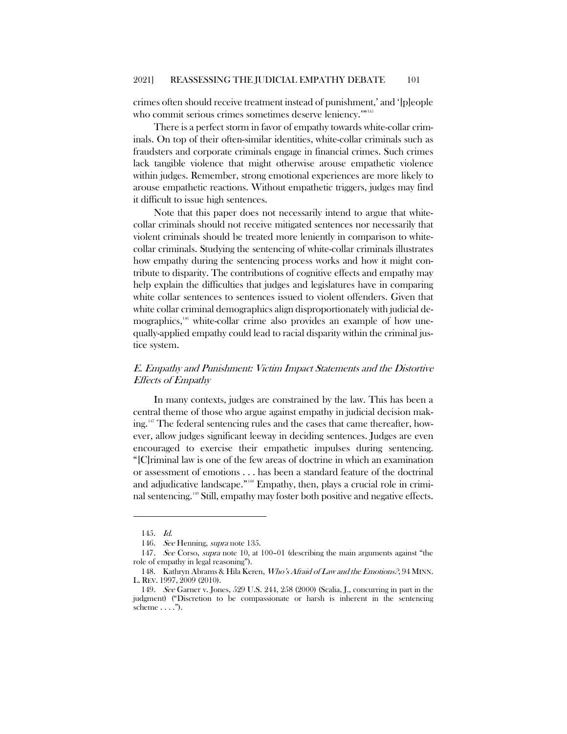crimes often should receive treatment instead of punishment,' and '[p]eople who commit serious crimes sometimes deserve leniency."<sup>[145](#page-21-0)</sup>

There is a perfect storm in favor of empathy towards white-collar criminals. On top of their often-similar identities, white-collar criminals such as fraudsters and corporate criminals engage in financial crimes. Such crimes lack tangible violence that might otherwise arouse empathetic violence within judges. Remember, strong emotional experiences are more likely to arouse empathetic reactions. Without empathetic triggers, judges may find it difficult to issue high sentences.

Note that this paper does not necessarily intend to argue that whitecollar criminals should not receive mitigated sentences nor necessarily that violent criminals should be treated more leniently in comparison to whitecollar criminals. Studying the sentencing of white-collar criminals illustrates how empathy during the sentencing process works and how it might contribute to disparity. The contributions of cognitive effects and empathy may help explain the difficulties that judges and legislatures have in comparing white collar sentences to sentences issued to violent offenders. Given that white collar criminal demographics align disproportionately with judicial demographics,<sup>16</sup> white-collar crime also provides an example of how unequally-applied empathy could lead to racial disparity within the criminal justice system.

## E. Empathy and Punishment: Victim Impact Statements and the Distortive Effects of Empathy

In many contexts, judges are constrained by the law. This has been a central theme of those who argue against empathy in judicial decision mak-ing.<sup>[147](#page-21-2)</sup> The federal sentencing rules and the cases that came thereafter, however, allow judges significant leeway in deciding sentences. Judges are even encouraged to exercise their empathetic impulses during sentencing. "[C]riminal law is one of the few areas of doctrine in which an examination or assessment of emotions . . . has been a standard feature of the doctrinal and adjudicative landscape."<sup>[148](#page-21-3)</sup> Empathy, then, plays a crucial role in criminal sentencing.[149](#page-21-4) Still, empathy may foster both positive and negative effects.

<sup>145.</sup> Id.

<sup>146.</sup> See Henning, *supra* note 135.

<span id="page-21-2"></span><span id="page-21-1"></span><span id="page-21-0"></span><sup>147.</sup> See Corso, supra note 10, at 100-01 (describing the main arguments against "the role of empathy in legal reasoning").

<span id="page-21-3"></span><sup>148.</sup> Kathryn Abrams & Hila Keren, Who's Afraid of Law and the Emotions?, 94 MINN. L. REV. 1997, 2009 (2010).

<span id="page-21-4"></span><sup>149</sup>. See Garner v. Jones, 529 U.S. 244, 258 (2000) (Scalia, J., concurring in part in the judgment) ("Discretion to be compassionate or harsh is inherent in the sentencing scheme  $\dots$ .").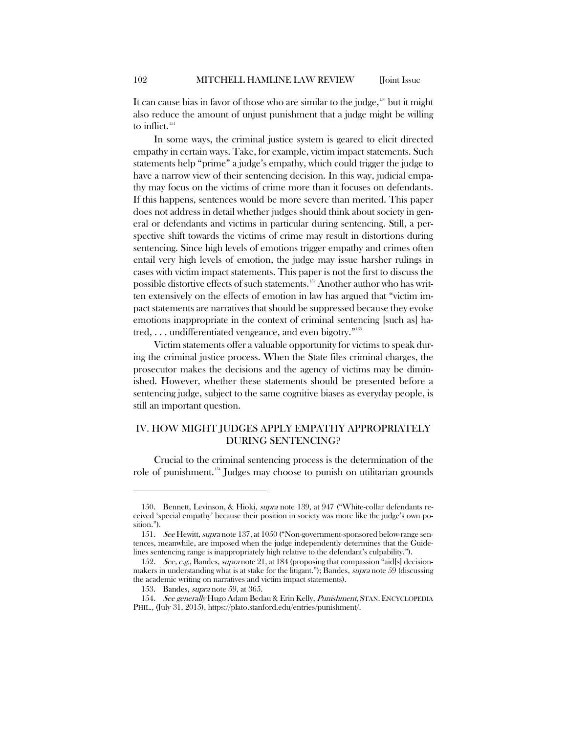It can cause bias in favor of those who are similar to the judge, $150$  but it might also reduce the amount of unjust punishment that a judge might be willing to inflict.<sup>[151](#page-22-1)</sup>

In some ways, the criminal justice system is geared to elicit directed empathy in certain ways. Take, for example, victim impact statements. Such statements help "prime" a judge's empathy, which could trigger the judge to have a narrow view of their sentencing decision. In this way, judicial empathy may focus on the victims of crime more than it focuses on defendants. If this happens, sentences would be more severe than merited. This paper does not address in detail whether judges should think about society in general or defendants and victims in particular during sentencing. Still, a perspective shift towards the victims of crime may result in distortions during sentencing. Since high levels of emotions trigger empathy and crimes often entail very high levels of emotion, the judge may issue harsher rulings in cases with victim impact statements. This paper is not the first to discuss the possible distortive effects of such statements.<sup>[152](#page-22-2)</sup> Another author who has written extensively on the effects of emotion in law has argued that "victim impact statements are narratives that should be suppressed because they evoke emotions inappropriate in the context of criminal sentencing [such as] hatred,  $\dots$  undifferentiated vengeance, and even bigotry."<sup>[153](#page-22-3)</sup>

Victim statements offer a valuable opportunity for victims to speak during the criminal justice process. When the State files criminal charges, the prosecutor makes the decisions and the agency of victims may be diminished. However, whether these statements should be presented before a sentencing judge, subject to the same cognitive biases as everyday people, is still an important question.

## IV. HOW MIGHT JUDGES APPLY EMPATHY APPROPRIATELY DURING SENTENCING?

Crucial to the criminal sentencing process is the determination of the role of punishment.<sup>[154](#page-22-4)</sup> Judges may choose to punish on utilitarian grounds

<span id="page-22-0"></span><sup>150.</sup> Bennett, Levinson, & Hioki, supra note 139, at 947 ("White-collar defendants received 'special empathy' because their position in society was more like the judge's own position.").

<span id="page-22-1"></span><sup>151.</sup> See Hewitt, supra note 137, at 1050 ("Non-government-sponsored below-range sentences, meanwhile, are imposed when the judge independently determines that the Guidelines sentencing range is inappropriately high relative to the defendant's culpability.").

<span id="page-22-2"></span><sup>152.</sup> See, e.g., Bandes, supra note 21, at 184 (proposing that compassion "aid[s] decisionmakers in understanding what is at stake for the litigant."); Bandes, supra note 59 (discussing the academic writing on narratives and victim impact statements).

<sup>153.</sup> Bandes, *supra* note 59, at 365.

<span id="page-22-4"></span><span id="page-22-3"></span><sup>154.</sup> See generally Hugo Adam Bedau & Erin Kelly, *Punishment*, STAN. ENCYCLOPEDIA PHIL., (July 31, 2015), https://plato.stanford.edu/entries/punishment/.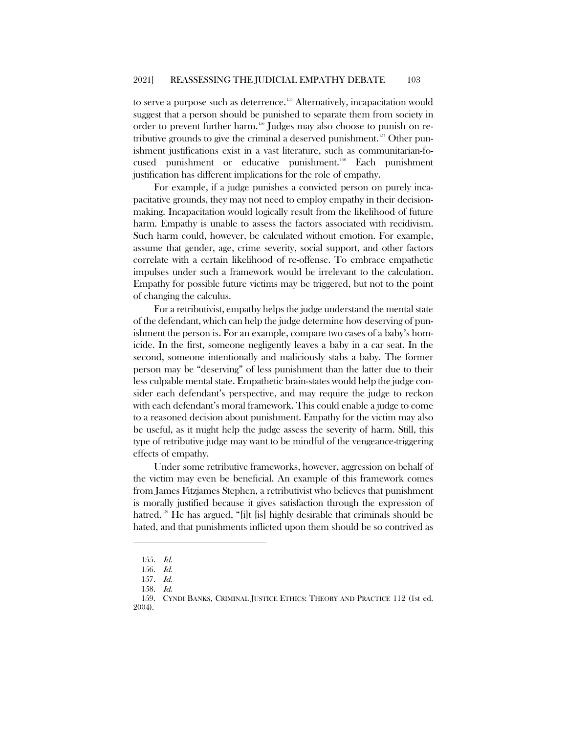to serve a purpose such as deterrence.<sup>[155](#page-23-0)</sup> Alternatively, incapacitation would suggest that a person should be punished to separate them from society in order to prevent further harm.<sup>[156](#page-23-1)</sup> Judges may also choose to punish on re-tributive grounds to give the criminal a deserved punishment.<sup>[157](#page-23-2)</sup> Other punishment justifications exist in a vast literature, such as communitarian-fo-cused punishment or educative punishment.<sup>[158](#page-23-3)</sup> Each punishment justification has different implications for the role of empathy.

For example, if a judge punishes a convicted person on purely incapacitative grounds, they may not need to employ empathy in their decisionmaking. Incapacitation would logically result from the likelihood of future harm. Empathy is unable to assess the factors associated with recidivism. Such harm could, however, be calculated without emotion. For example, assume that gender, age, crime severity, social support, and other factors correlate with a certain likelihood of re-offense. To embrace empathetic impulses under such a framework would be irrelevant to the calculation. Empathy for possible future victims may be triggered, but not to the point of changing the calculus.

For a retributivist, empathy helps the judge understand the mental state of the defendant, which can help the judge determine how deserving of punishment the person is. For an example, compare two cases of a baby's homicide. In the first, someone negligently leaves a baby in a car seat. In the second, someone intentionally and maliciously stabs a baby. The former person may be "deserving" of less punishment than the latter due to their less culpable mental state. Empathetic brain-states would help the judge consider each defendant's perspective, and may require the judge to reckon with each defendant's moral framework. This could enable a judge to come to a reasoned decision about punishment. Empathy for the victim may also be useful, as it might help the judge assess the severity of harm. Still, this type of retributive judge may want to be mindful of the vengeance-triggering effects of empathy.

Under some retributive frameworks, however, aggression on behalf of the victim may even be beneficial. An example of this framework comes from James Fitzjames Stephen, a retributivist who believes that punishment is morally justified because it gives satisfaction through the expression of hatred.<sup>[159](#page-23-4)</sup> He has argued, "[i]t [is] highly desirable that criminals should be hated, and that punishments inflicted upon them should be so contrived as

<sup>155.</sup> Id.

<span id="page-23-0"></span><sup>156.</sup> Id.

<sup>157.</sup> Id.

<sup>158.</sup> Id.

<span id="page-23-4"></span><span id="page-23-3"></span><span id="page-23-2"></span><span id="page-23-1"></span><sup>159.</sup> CYNDI BANKS, CRIMINAL JUSTICE ETHICS: THEORY AND PRACTICE 112 (1st ed. 2004).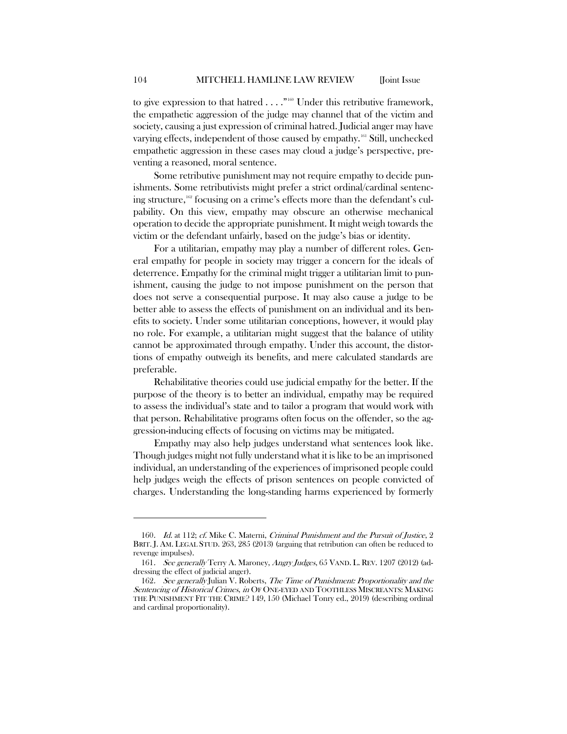to give expression to that hatred  $\ldots$ ."<sup>[160](#page-24-0)</sup> Under this retributive framework, the empathetic aggression of the judge may channel that of the victim and society, causing a just expression of criminal hatred. Judicial anger may have varying effects, independent of those caused by empathy.<sup>[161](#page-24-1)</sup> Still, unchecked empathetic aggression in these cases may cloud a judge's perspective, preventing a reasoned, moral sentence.

Some retributive punishment may not require empathy to decide punishments. Some retributivists might prefer a strict ordinal/cardinal sentencing structure,[162](#page-24-2) focusing on a crime's effects more than the defendant's culpability. On this view, empathy may obscure an otherwise mechanical operation to decide the appropriate punishment. It might weigh towards the victim or the defendant unfairly, based on the judge's bias or identity.

For a utilitarian, empathy may play a number of different roles. General empathy for people in society may trigger a concern for the ideals of deterrence. Empathy for the criminal might trigger a utilitarian limit to punishment, causing the judge to not impose punishment on the person that does not serve a consequential purpose. It may also cause a judge to be better able to assess the effects of punishment on an individual and its benefits to society. Under some utilitarian conceptions, however, it would play no role. For example, a utilitarian might suggest that the balance of utility cannot be approximated through empathy. Under this account, the distortions of empathy outweigh its benefits, and mere calculated standards are preferable.

Rehabilitative theories could use judicial empathy for the better. If the purpose of the theory is to better an individual, empathy may be required to assess the individual's state and to tailor a program that would work with that person. Rehabilitative programs often focus on the offender, so the aggression-inducing effects of focusing on victims may be mitigated.

Empathy may also help judges understand what sentences look like. Though judges might not fully understand what it is like to be an imprisoned individual, an understanding of the experiences of imprisoned people could help judges weigh the effects of prison sentences on people convicted of charges. Understanding the long-standing harms experienced by formerly

<span id="page-24-0"></span><sup>160.</sup> Id. at 112; cf. Mike C. Materni, Criminal Punishment and the Pursuit of Justice, 2 BRIT. J. AM. LEGAL STUD. 263, 285 (2013) (arguing that retribution can often be reduced to revenge impulses).

<span id="page-24-1"></span><sup>161.</sup> See generally Terry A. Maroney, Angry Judges, 65 VAND. L. REV. 1207 (2012) (addressing the effect of judicial anger).

<span id="page-24-2"></span><sup>162.</sup> See generally Julian V. Roberts, The Time of Punishment: Proportionality and the Sentencing of Historical Crimes, in OF ONE-EYED AND TOOTHLESS MISCREANTS: MAKING THE PUNISHMENT FIT THE CRIME? 149, 150 (Michael Tonry ed., 2019) (describing ordinal and cardinal proportionality).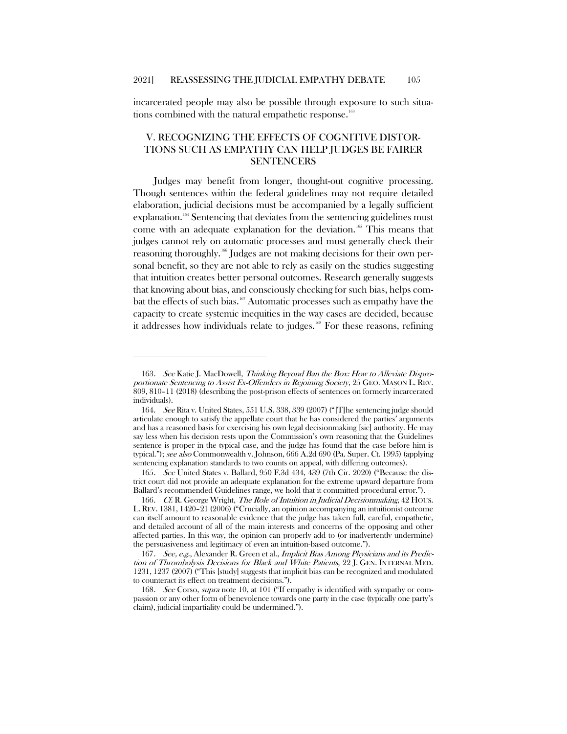incarcerated people may also be possible through exposure to such situa-tions combined with the natural empathetic response.<sup>[163](#page-25-0)</sup>

## V. RECOGNIZING THE EFFECTS OF COGNITIVE DISTOR-TIONS SUCH AS EMPATHY CAN HELP JUDGES BE FAIRER SENTENCERS

Judges may benefit from longer, thought-out cognitive processing. Though sentences within the federal guidelines may not require detailed elaboration, judicial decisions must be accompanied by a legally sufficient explanation.<sup>[164](#page-25-1)</sup> Sentencing that deviates from the sentencing guidelines must come with an adequate explanation for the deviation.<sup>[165](#page-25-2)</sup> This means that judges cannot rely on automatic processes and must generally check their reasoning thoroughly.[166](#page-25-3) Judges are not making decisions for their own personal benefit, so they are not able to rely as easily on the studies suggesting that intuition creates better personal outcomes. Research generally suggests that knowing about bias, and consciously checking for such bias, helps combat the effects of such bias.[167](#page-25-4) Automatic processes such as empathy have the capacity to create systemic inequities in the way cases are decided, because it addresses how individuals relate to judges[.168](#page-25-5) For these reasons, refining

<span id="page-25-0"></span><sup>163</sup>. See Katie J. MacDowell, Thinking Beyond Ban the Box: How to Alleviate Disproportionate Sentencing to Assist Ex-Offenders in Rejoining Society, 25 GEO. MASON L. REV. 809, 810–11 (2018) (describing the post-prison effects of sentences on formerly incarcerated individuals).

<span id="page-25-1"></span><sup>164</sup>. See Rita v. United States, 551 U.S. 338, 339 (2007) ("[T]he sentencing judge should articulate enough to satisfy the appellate court that he has considered the parties' arguments and has a reasoned basis for exercising his own legal decisionmaking [sic] authority. He may say less when his decision rests upon the Commission's own reasoning that the Guidelines sentence is proper in the typical case, and the judge has found that the case before him is typical."); see also Commonwealth v. Johnson, 666 A.2d 690 (Pa. Super. Ct. 1995) (applying sentencing explanation standards to two counts on appeal, with differing outcomes).

<span id="page-25-2"></span><sup>165.</sup> See United States v. Ballard, 950 F.3d 434, 439 (7th Cir. 2020) ("Because the district court did not provide an adequate explanation for the extreme upward departure from Ballard's recommended Guidelines range, we hold that it committed procedural error.").

<span id="page-25-3"></span><sup>166</sup>. Cf. R. George Wright, The Role of Intuition in Judicial Decisionmaking, 42 HOUS. L. REV. 1381, 1420–21 (2006) ("Crucially, an opinion accompanying an intuitionist outcome can itself amount to reasonable evidence that the judge has taken full, careful, empathetic, and detailed account of all of the main interests and concerns of the opposing and other affected parties. In this way, the opinion can properly add to (or inadvertently undermine) the persuasiveness and legitimacy of even an intuition-based outcome.").

<span id="page-25-4"></span><sup>167.</sup> See, e.g., Alexander R. Green et al., Implicit Bias Among Physicians and its Prediction of Thrombolysis Decisions for Black and White Patients, 22 J. GEN. INTERNAL MED. 1231, 1237 (2007) ("This [study] suggests that implicit bias can be recognized and modulated to counteract its effect on treatment decisions.").

<span id="page-25-5"></span><sup>168.</sup> See Corso, supra note 10, at 101 ("If empathy is identified with sympathy or compassion or any other form of benevolence towards one party in the case (typically one party's claim), judicial impartiality could be undermined.").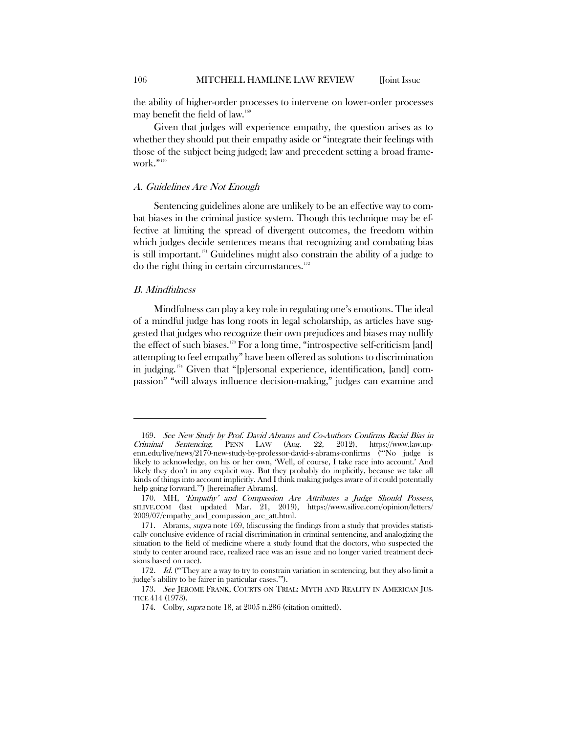the ability of higher-order processes to intervene on lower-order processes may benefit the field of law.<sup>169</sup>

Given that judges will experience empathy, the question arises as to whether they should put their empathy aside or "integrate their feelings with those of the subject being judged; law and precedent setting a broad frame-work."<sup>[170](#page-26-1)</sup>

#### A. Guidelines Are Not Enough

Sentencing guidelines alone are unlikely to be an effective way to combat biases in the criminal justice system. Though this technique may be effective at limiting the spread of divergent outcomes, the freedom within which judges decide sentences means that recognizing and combating bias is still important.<sup>[171](#page-26-2)</sup> Guidelines might also constrain the ability of a judge to do the right thing in certain circumstances. $172$ 

#### B. Mindfulness

 $\overline{a}$ 

Mindfulness can play a key role in regulating one's emotions. The ideal of a mindful judge has long roots in legal scholarship, as articles have suggested that judges who recognize their own prejudices and biases may nullify the effect of such biases.[173](#page-26-4) For a long time, "introspective self-criticism [and] attempting to feel empathy" have been offered as solutions to discrimination in judging.[174](#page-26-5) Given that "[p]ersonal experience, identification, [and] compassion" "will always influence decision-making," judges can examine and

<span id="page-26-0"></span><sup>169.</sup> See New Study by Prof. David Abrams and Co-Authors Confirms Racial Bias in<br>
riminal Sentencing, PENN LAW (Aug. 22, 2012), https://www.law.up-Criminal Sentencing, PENN LAW (Aug. 22, 2012), https://www.law.upenn.edu/live/news/2170-new-study-by-professor-david-s-abrams-confirms ("'No judge is likely to acknowledge, on his or her own, 'Well, of course, I take race into account.' And likely they don't in any explicit way. But they probably do implicitly, because we take all kinds of things into account implicitly. And I think making judges aware of it could potentially help going forward.'") [hereinafter Abrams].

<span id="page-26-1"></span><sup>170.</sup> MH, 'Empathy' and Compassion Are Attributes a Judge Should Possess, SILIVE.COM (last updated Mar. 21, 2019), https://www.silive.com/opinion/letters/ 2009/07/empathy\_and\_compassion\_are\_att.html.

<span id="page-26-2"></span><sup>171.</sup> Abrams, *supra* note 169, (discussing the findings from a study that provides statistically conclusive evidence of racial discrimination in criminal sentencing, and analogizing the situation to the field of medicine where a study found that the doctors, who suspected the study to center around race, realized race was an issue and no longer varied treatment decisions based on race).

<span id="page-26-3"></span><sup>172.</sup> Id. ("They are a way to try to constrain variation in sentencing, but they also limit a judge's ability to be fairer in particular cases.'").

<span id="page-26-5"></span><span id="page-26-4"></span><sup>173.</sup> See JEROME FRANK, COURTS ON TRIAL: MYTH AND REALITY IN AMERICAN JUS-TICE 414 (1973).

<sup>174.</sup> Colby, *supra* note 18, at 2005 n.286 (citation omitted).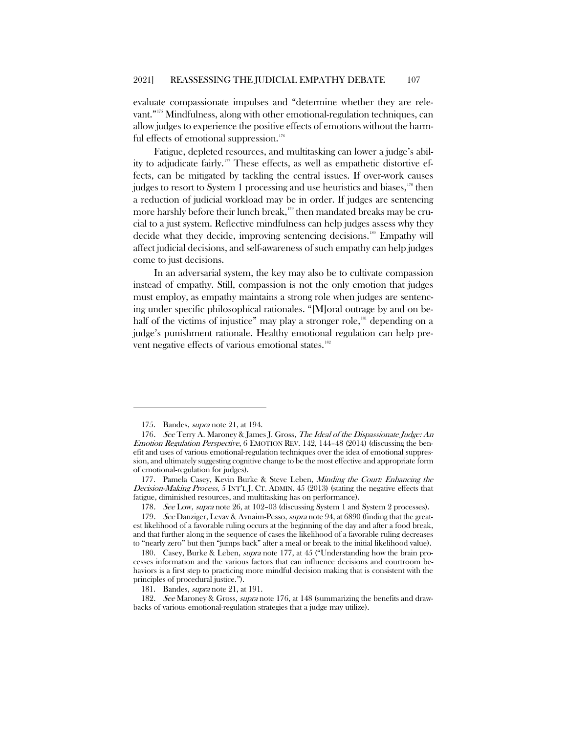evaluate compassionate impulses and "determine whether they are relevant."[175](#page-27-0) Mindfulness, along with other emotional-regulation techniques, can allow judges to experience the positive effects of emotions without the harmful effects of emotional suppression. $176$ 

Fatigue, depleted resources, and multitasking can lower a judge's abil-ity to adjudicate fairly.<sup>[177](#page-27-2)</sup> These effects, as well as empathetic distortive effects, can be mitigated by tackling the central issues. If over-work causes judges to resort to System 1 processing and use heuristics and biases,<sup>[178](#page-27-3)</sup> then a reduction of judicial workload may be in order. If judges are sentencing more harshly before their lunch break,<sup>[179](#page-27-4)</sup> then mandated breaks may be crucial to a just system. Reflective mindfulness can help judges assess why they decide what they decide, improving sentencing decisions.<sup>[180](#page-27-5)</sup> Empathy will affect judicial decisions, and self-awareness of such empathy can help judges come to just decisions.

In an adversarial system, the key may also be to cultivate compassion instead of empathy. Still, compassion is not the only emotion that judges must employ, as empathy maintains a strong role when judges are sentencing under specific philosophical rationales. "[M]oral outrage by and on behalf of the victims of injustice" may play a stronger role, $181$  depending on a judge's punishment rationale. Healthy emotional regulation can help pre-vent negative effects of various emotional states.<sup>[182](#page-27-7)</sup>

<sup>175.</sup> Bandes, *supra* note 21, at 194.

<span id="page-27-1"></span><span id="page-27-0"></span><sup>176.</sup> See Terry A. Maroney & James J. Gross, The Ideal of the Dispassionate Judge: An Emotion Regulation Perspective, 6 EMOTION REV. 142, 144–48 (2014) (discussing the benefit and uses of various emotional-regulation techniques over the idea of emotional suppression, and ultimately suggesting cognitive change to be the most effective and appropriate form of emotional-regulation for judges).

<span id="page-27-2"></span><sup>177.</sup> Pamela Casey, Kevin Burke & Steve Leben, Minding the Court: Enhancing the Decision-Making Process, 5 INT'L J. CT. ADMIN. 45 (2013) (stating the negative effects that fatigue, diminished resources, and multitasking has on performance).

<sup>178</sup>. See Low, supra note 26, at 102–03 (discussing System 1 and System 2 processes).

<span id="page-27-4"></span><span id="page-27-3"></span><sup>179.</sup> See Danziger, Levav & Avnaim-Pesso, *supra* note 94, at 6890 (finding that the greatest likelihood of a favorable ruling occurs at the beginning of the day and after a food break, and that further along in the sequence of cases the likelihood of a favorable ruling decreases to "nearly zero" but then "jumps back" after a meal or break to the initial likelihood value).

<span id="page-27-5"></span><sup>180.</sup> Casey, Burke & Leben, supra note 177, at 45 ("Understanding how the brain processes information and the various factors that can influence decisions and courtroom behaviors is a first step to practicing more mindful decision making that is consistent with the principles of procedural justice.").

<sup>181.</sup> Bandes, supra note 21, at 191.

<span id="page-27-7"></span><span id="page-27-6"></span><sup>182</sup>. See Maroney & Gross, supra note 176, at 148 (summarizing the benefits and drawbacks of various emotional-regulation strategies that a judge may utilize).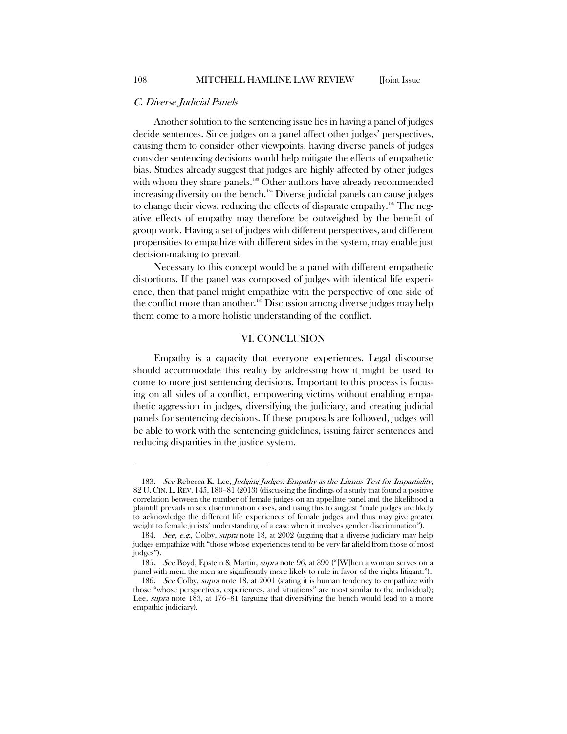#### C. Diverse Judicial Panels

Another solution to the sentencing issue lies in having a panel of judges decide sentences. Since judges on a panel affect other judges' perspectives, causing them to consider other viewpoints, having diverse panels of judges consider sentencing decisions would help mitigate the effects of empathetic bias. Studies already suggest that judges are highly affected by other judges with whom they share panels.<sup>[183](#page-28-0)</sup> Other authors have already recommended increasing diversity on the bench.<sup>[184](#page-28-1)</sup> Diverse judicial panels can cause judges to change their views, reducing the effects of disparate empathy.<sup>[185](#page-28-2)</sup> The negative effects of empathy may therefore be outweighed by the benefit of group work. Having a set of judges with different perspectives, and different propensities to empathize with different sides in the system, may enable just decision-making to prevail.

Necessary to this concept would be a panel with different empathetic distortions. If the panel was composed of judges with identical life experience, then that panel might empathize with the perspective of one side of the conflict more than another.<sup>[186](#page-28-3)</sup> Discussion among diverse judges may help them come to a more holistic understanding of the conflict.

#### VI. CONCLUSION

Empathy is a capacity that everyone experiences. Legal discourse should accommodate this reality by addressing how it might be used to come to more just sentencing decisions. Important to this process is focusing on all sides of a conflict, empowering victims without enabling empathetic aggression in judges, diversifying the judiciary, and creating judicial panels for sentencing decisions. If these proposals are followed, judges will be able to work with the sentencing guidelines, issuing fairer sentences and reducing disparities in the justice system.

<span id="page-28-0"></span><sup>183.</sup> See Rebecca K. Lee, Judging Judges: Empathy as the Litmus Test for Impartiality, 82 U.CIN. L.REV. 145, 180–81 (2013) (discussing the findings of a study that found a positive correlation between the number of female judges on an appellate panel and the likelihood a plaintiff prevails in sex discrimination cases, and using this to suggest "male judges are likely to acknowledge the different life experiences of female judges and thus may give greater weight to female jurists' understanding of a case when it involves gender discrimination").

<span id="page-28-1"></span><sup>184.</sup> See, e.g., Colby, supra note 18, at 2002 (arguing that a diverse judiciary may help judges empathize with "those whose experiences tend to be very far afield from those of most judges").

<span id="page-28-2"></span><sup>185.</sup> See Boyd, Epstein & Martin, *supra* note 96, at 390 ("[W]hen a woman serves on a panel with men, the men are significantly more likely to rule in favor of the rights litigant.").

<span id="page-28-3"></span><sup>186.</sup> See Colby, supra note 18, at 2001 (stating it is human tendency to empathize with those "whose perspectives, experiences, and situations" are most similar to the individual); Lee, *supra* note 183, at 176–81 (arguing that diversifying the bench would lead to a more empathic judiciary).